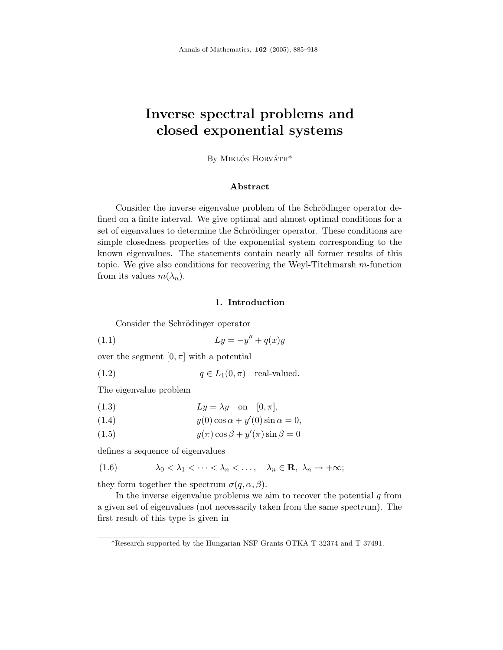# **Inverse spectral problems and closed exponential systems**

By MIKLÓS HORVÁTH<sup>\*</sup>

#### **Abstract**

Consider the inverse eigenvalue problem of the Schrödinger operator defined on a finite interval. We give optimal and almost optimal conditions for a set of eigenvalues to determine the Schrödinger operator. These conditions are simple closedness properties of the exponential system corresponding to the known eigenvalues. The statements contain nearly all former results of this topic. We give also conditions for recovering the Weyl-Titchmarsh *m*-function from its values  $m(\lambda_n)$ .

#### **1. Introduction**

Consider the Schrödinger operator

$$
(1.1)\qquad \qquad Ly = -y'' + q(x)y
$$

over the segment  $[0, \pi]$  with a potential

(1.2)  $q \in L_1(0, \pi)$  real-valued.

The eigenvalue problem

(1.3) 
$$
Ly = \lambda y \quad \text{on} \quad [0, \pi],
$$

$$
(1.4) \t\t y(0)\cos\alpha + y'(0)\sin\alpha = 0,
$$

(1.5)  $y(\pi) \cos \beta + y'(\pi) \sin \beta = 0$ 

defines a sequence of eigenvalues

$$
(1.6) \qquad \lambda_0 < \lambda_1 < \cdots < \lambda_n < \ldots, \quad \lambda_n \in \mathbf{R}, \ \lambda_n \to +\infty;
$$

they form together the spectrum  $\sigma(q, \alpha, \beta)$ .

In the inverse eigenvalue problems we aim to recover the potential  $q$  from a given set of eigenvalues (not necessarily taken from the same spectrum). The first result of this type is given in

<sup>\*</sup>Research supported by the Hungarian NSF Grants OTKA T 32374 and T 37491.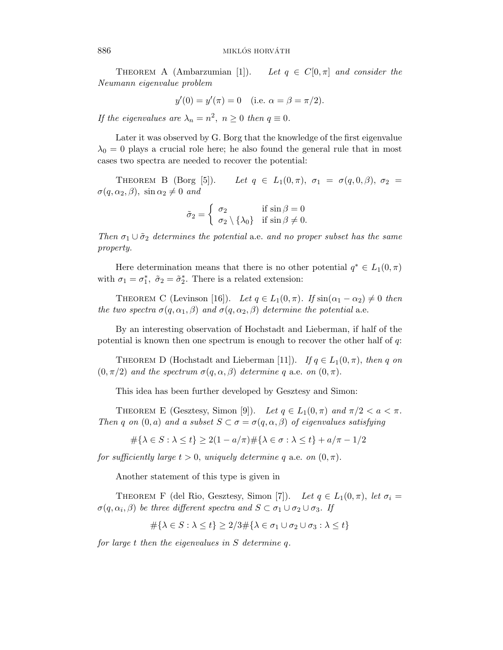THEOREM A (Ambarzumian  $[1]$ ). Let  $q \in C[0, \pi]$  and consider the Neumann eigenvalue problem

$$
y'(0) = y'(\pi) = 0
$$
 (i.e.  $\alpha = \beta = \pi/2$ ).

If the eigenvalues are  $\lambda_n = n^2$ ,  $n \geq 0$  then  $q \equiv 0$ .

Later it was observed by G. Borg that the knowledge of the first eigenvalue  $\lambda_0 = 0$  plays a crucial role here; he also found the general rule that in most cases two spectra are needed to recover the potential:

THEOREM B  $(Borg [5])$ . Let  $q \in L_1(0, \pi), \sigma_1 = \sigma(q, 0, \beta), \sigma_2 =$  $\sigma(q, \alpha_2, \beta)$ , sin  $\alpha_2 \neq 0$  and

$$
\tilde{\sigma}_2 = \begin{cases} \sigma_2 & \text{if } \sin \beta = 0 \\ \sigma_2 \setminus \{\lambda_0\} & \text{if } \sin \beta \neq 0. \end{cases}
$$

Then  $\sigma_1 \cup \tilde{\sigma}_2$  determines the potential a.e. and no proper subset has the same property.

Here determination means that there is no other potential  $q^* \in L_1(0, \pi)$ with  $\sigma_1 = \sigma_1^*$ ,  $\tilde{\sigma}_2 = \tilde{\sigma}_2^*$ . There is a related extension:

THEOREM C (Levinson [16]). Let  $q \in L_1(0, \pi)$ . If  $\sin(\alpha_1 - \alpha_2) \neq 0$  then the two spectra  $\sigma(q, \alpha_1, \beta)$  and  $\sigma(q, \alpha_2, \beta)$  determine the potential a.e.

By an interesting observation of Hochstadt and Lieberman, if half of the potential is known then one spectrum is enough to recover the other half of *q*:

THEOREM D (Hochstadt and Lieberman [11]). If  $q \in L_1(0, \pi)$ , then q on  $(0, \pi/2)$  and the spectrum  $\sigma(q, \alpha, \beta)$  determine q a.e. on  $(0, \pi)$ .

This idea has been further developed by Gesztesy and Simon:

THEOREM E (Gesztesy, Simon [9]). Let  $q \in L_1(0, \pi)$  and  $\pi/2 < a < \pi$ . Then *q* on  $(0, a)$  and *a* subset  $S \subset \sigma = \sigma(q, \alpha, \beta)$  of eigenvalues satisfying

$$
\#\{\lambda \in S : \lambda \le t\} \ge 2(1 - a/\pi)\#\{\lambda \in \sigma : \lambda \le t\} + a/\pi - 1/2
$$

for sufficiently large  $t > 0$ , uniquely determine q a.e. on  $(0, \pi)$ .

Another statement of this type is given in

THEOREM F (del Rio, Gesztesy, Simon [7]). Let  $q \in L_1(0, \pi)$ , let  $\sigma_i =$  $\sigma(q, \alpha_i, \beta)$  be three different spectra and  $S \subset \sigma_1 \cup \sigma_2 \cup \sigma_3$ . If

$$
\#\{\lambda \in S : \lambda \le t\} \ge 2/3\#\{\lambda \in \sigma_1 \cup \sigma_2 \cup \sigma_3 : \lambda \le t\}
$$

for large *t* then the eigenvalues in *S* determine *q*.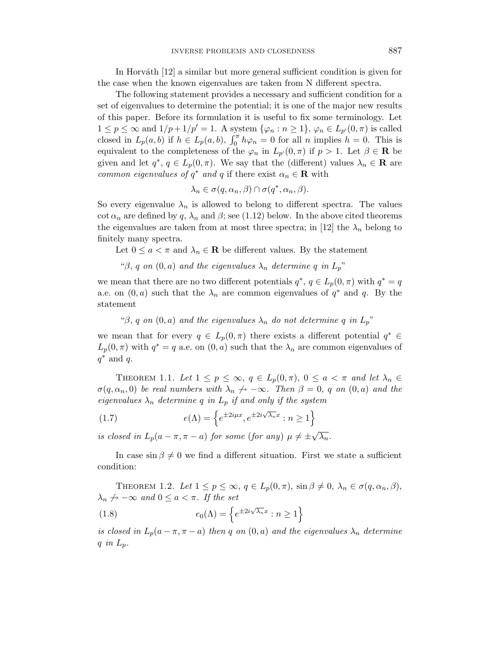In Horváth [12] a similar but more general sufficient condition is given for the case when the known eigenvalues are taken from N different spectra.

The following statement provides a necessary and sufficient condition for a set of eigenvalues to determine the potential; it is one of the major new results of this paper. Before its formulation it is useful to fix some terminology. Let  $1 \leq p \leq \infty$  and  $1/p+1/p' = 1$ . A system  $\{\varphi_n : n \geq 1\}, \varphi_n \in L_{p'}(0,\pi)$  is called closed in  $L_p(a, b)$  if  $h \in L_p(a, b)$ ,  $\int_0^{\pi} h \varphi_n = 0$  for all *n* implies  $h = 0$ . This is equivalent to the completeness of the  $\varphi_n$  in  $L_{p'}(0,\pi)$  if  $p > 1$ . Let  $\beta \in \mathbf{R}$  be given and let  $q^*$ ,  $q \in L_p(0, \pi)$ . We say that the (different) values  $\lambda_n \in \mathbf{R}$  are common eigenvalues of  $q^*$  and  $q$  if there exist  $\alpha_n \in \mathbf{R}$  with

$$
\lambda_n \in \sigma(q, \alpha_n, \beta) \cap \sigma(q^*, \alpha_n, \beta).
$$

So every eigenvalue  $\lambda_n$  is allowed to belong to different spectra. The values cot  $\alpha_n$  are defined by q,  $\lambda_n$  and  $\beta$ ; see (1.12) below. In the above cited theorems the eigenvalues are taken from at most three spectra; in [12] the  $\lambda_n$  belong to finitely many spectra.

Let  $0 \le a < \pi$  and  $\lambda_n \in \mathbb{R}$  be different values. By the statement

" $\beta$ , *q* on  $(0, a)$  and the eigenvalues  $\lambda_n$  determine *q* in  $L_p$ "

we mean that there are no two different potentials  $q^*$ ,  $q \in L_p(0, \pi)$  with  $q^* = q$ a.e. on  $(0, a)$  such that the  $\lambda_n$  are common eigenvalues of  $q^*$  and  $q$ . By the statement

" $\beta$ , *q* on  $(0, a)$  and the eigenvalues  $\lambda_n$  do not determine *q* in  $L_p$ "

we mean that for every  $q \in L_p(0, \pi)$  there exists a different potential  $q^* \in$  $L_p(0, \pi)$  with  $q^* = q$  a.e. on  $(0, a)$  such that the  $\lambda_n$  are common eigenvalues of *q*∗ and *q*.

THEOREM 1.1. Let  $1 \leq p \leq \infty$ ,  $q \in L_p(0, \pi)$ ,  $0 \leq a < \pi$  and let  $\lambda_n \in$  $\sigma(q, \alpha_n, 0)$  be real numbers with  $\lambda_n \nightharpoonup -\infty$ . Then  $\beta = 0$ , *q* on  $(0, a)$  and the eigenvalues  $\lambda_n$  determine q in  $L_p$  if and only if the system

(1.7) 
$$
e(\Lambda) = \left\{ e^{\pm 2i\mu x}, e^{\pm 2i\sqrt{\lambda_n}x} : n \ge 1 \right\}
$$

is closed in  $L_p(a - \pi, \pi - a)$  for some (for any)  $\mu \neq \pm \sqrt{\lambda_n}$ .

In case  $\sin \beta \neq 0$  we find a different situation. First we state a sufficient condition:

THEOREM 1.2. Let  $1 \le p \le \infty$ ,  $q \in L_p(0, \pi)$ ,  $\sin \beta \ne 0$ ,  $\lambda_n \in \sigma(q, \alpha_n, \beta)$ ,  $\lambda_n \nrightarrow -\infty$  and  $0 \le a < \pi$ . If the set

(1.8) 
$$
e_0(\Lambda) = \left\{ e^{\pm 2i\sqrt{\lambda_n}x} : n \ge 1 \right\}
$$

is closed in  $L_p(a - \pi, \pi - a)$  then *q* on  $(0, a)$  and the eigenvalues  $\lambda_n$  determine *q* in *L*p.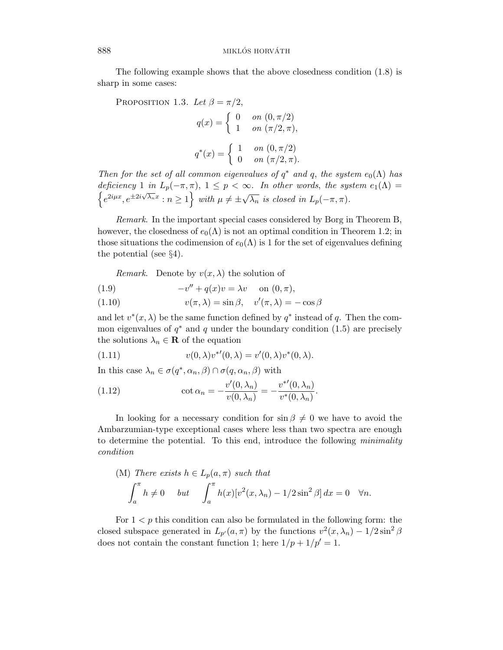The following example shows that the above closedness condition (1.8) is sharp in some cases:

PROPOSITION 1.3. Let  $\beta = \pi/2$ ,  $q(x) = \begin{cases} 0 & \text{on } (0, \pi/2) \\ 1 & \text{on } (\pi/2, \pi), \end{cases}$  $q^*(x) = \begin{cases} 1 & \text{on } (0, \pi/2) \\ 0 & \text{on } (\pi/2, \pi). \end{cases}$ 

Then for the set of all common eigenvalues of  $q^*$  and  $q$ , the system  $e_0(\Lambda)$  has deficiency 1 in  $L_p(-\pi, \pi)$ ,  $1 \leq p < \infty$ . In other words, the system  $e_1(\Lambda)$  $\{e^{2i\mu x}, e^{\pm 2i\sqrt{\lambda_n}x}: n \geq 1\}$  with  $\mu \neq \pm \sqrt{\lambda_n}$  is closed in  $L_p(-\pi, \pi)$ .

Remark. In the important special cases considered by Borg in Theorem B, however, the closedness of  $e_0(\Lambda)$  is not an optimal condition in Theorem 1.2; in those situations the codimension of  $e_0(\Lambda)$  is 1 for the set of eigenvalues defining the potential (see §4).

*Remark.* Denote by  $v(x, \lambda)$  the solution of

$$
(1.9) \qquad \qquad -v'' + q(x)v = \lambda v \quad \text{on } (0, \pi),
$$

(1.10) 
$$
v(\pi, \lambda) = \sin \beta, \quad v'(\pi, \lambda) = -\cos \beta
$$

and let  $v^*(x, \lambda)$  be the same function defined by  $q^*$  instead of q. Then the common eigenvalues of  $q^*$  and  $q$  under the boundary condition (1.5) are precisely the solutions  $\lambda_n \in \mathbf{R}$  of the equation

(1.11) 
$$
v(0,\lambda)v^{*}(0,\lambda) = v'(0,\lambda)v^{*}(0,\lambda).
$$

In this case  $\lambda_n \in \sigma(q^*, \alpha_n, \beta) \cap \sigma(q, \alpha_n, \beta)$  with

(1.12) 
$$
\cot \alpha_n = -\frac{v'(0, \lambda_n)}{v(0, \lambda_n)} = -\frac{v^{*'}(0, \lambda_n)}{v^{*}(0, \lambda_n)}.
$$

In looking for a necessary condition for  $\sin \beta \neq 0$  we have to avoid the Ambarzumian-type exceptional cases where less than two spectra are enough to determine the potential. To this end, introduce the following *minimality* condition

(M) There exists 
$$
h \in L_p(a, \pi)
$$
 such that  
\n
$$
\int_a^{\pi} h \neq 0 \quad but \quad \int_a^{\pi} h(x)[v^2(x, \lambda_n) - 1/2\sin^2\beta] dx = 0 \quad \forall n.
$$

For  $1 < p$  this condition can also be formulated in the following form: the closed subspace generated in  $L_{p}(a, \pi)$  by the functions  $v^2(x, \lambda_n) - 1/2 \sin^2 \beta$ does not contain the constant function 1; here  $1/p + 1/p' = 1$ .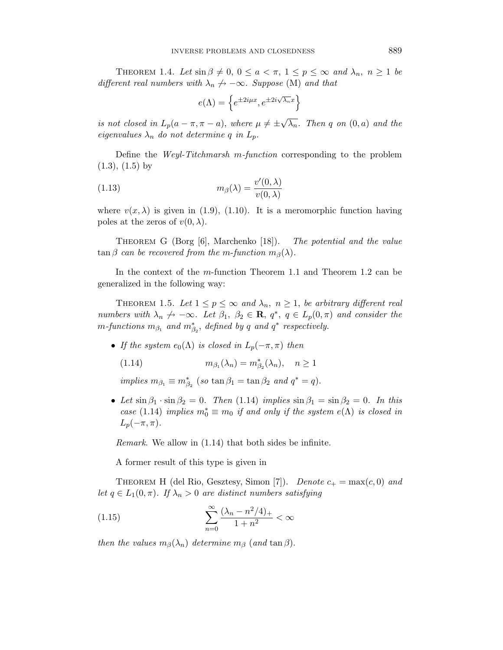THEOREM 1.4. Let  $\sin \beta \neq 0$ ,  $0 \leq a < \pi$ ,  $1 \leq p \leq \infty$  and  $\lambda_n$ ,  $n \geq 1$  be different real numbers with  $\lambda_n \nightharpoonup -\infty$ . Suppose (M) and that

$$
e(\Lambda) = \left\{ e^{\pm 2i\mu x}, e^{\pm 2i\sqrt{\lambda_n}x} \right\}
$$

is not closed in  $L_p(a - \pi, \pi - a)$ , where  $\mu \neq \pm \sqrt{\lambda_n}$ . Then *q* on  $(0, a)$  and the eigenvalues  $\lambda_n$  do not determine *q* in  $L_p$ .

Define the Weyl-Titchmarsh *m*-function corresponding to the problem  $(1.3), (1.5)$  by

(1.13) 
$$
m_{\beta}(\lambda) = \frac{v'(0,\lambda)}{v(0,\lambda)}
$$

where  $v(x, \lambda)$  is given in (1.9), (1.10). It is a meromorphic function having poles at the zeros of  $v(0, \lambda)$ .

THEOREM G (Borg [6], Marchenko [18]). The potential and the value  $\tan \beta$  can be recovered from the *m*-function  $m_{\beta}(\lambda)$ .

In the context of the *m*-function Theorem 1.1 and Theorem 1.2 can be generalized in the following way:

THEOREM 1.5. Let  $1 \leq p \leq \infty$  and  $\lambda_n$ ,  $n \geq 1$ , be arbitrary different real numbers with  $\lambda_n \nightharpoonup -\infty$ . Let  $\beta_1$ ,  $\beta_2 \in \mathbf{R}$ ,  $q^*$ ,  $q \in L_p(0, \pi)$  and consider the  $m$ -functions  $m_{\beta_1}$  and  $m_{\beta_2}^*$ , defined by *q* and  $q^*$  respectively.

• If the system  $e_0(\Lambda)$  is closed in  $L_p(-\pi,\pi)$  then

$$
(1.14) \t m\beta_1(\lambda_n) = m\beta_2*(\lambda_n), \t n \ge 1
$$

 $implies m_{\beta_1} \equiv m_{\beta_2}^*$  (so tan  $\beta_1 = \tan \beta_2$  and  $q^* = q$ ).

• Let  $\sin \beta_1 \cdot \sin \beta_2 = 0$ . Then (1.14) implies  $\sin \beta_1 = \sin \beta_2 = 0$ . In this case (1.14) implies  $m_0^* \equiv m_0$  if and only if the system  $e(\Lambda)$  is closed in  $L_p(-\pi,\pi)$ .

Remark. We allow in (1.14) that both sides be infinite.

A former result of this type is given in

THEOREM H (del Rio, Gesztesy, Simon [7]). Denote  $c_+ = \max(c, 0)$  and let  $q \in L_1(0, \pi)$ . If  $\lambda_n > 0$  are distinct numbers satisfying

(1.15) 
$$
\sum_{n=0}^{\infty} \frac{(\lambda_n - n^2/4)_+}{1 + n^2} < \infty
$$

then the values  $m_\beta(\lambda_n)$  determine  $m_\beta$  (and tan  $\beta$ ).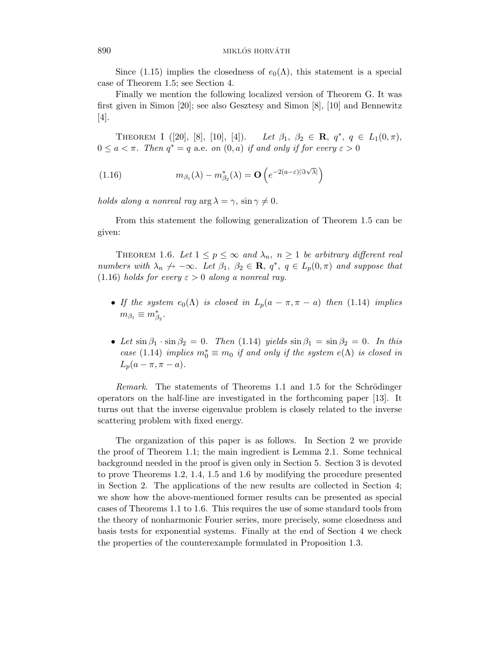Since (1.15) implies the closedness of  $e_0(\Lambda)$ , this statement is a special case of Theorem 1.5; see Section 4.

Finally we mention the following localized version of Theorem G. It was first given in Simon [20]; see also Gesztesy and Simon [8], [10] and Bennewitz [4].

THEOREM I  $([20], [8], [10], [4])$ .  $Let \beta_1, \beta_2 \in \mathbf{R}, q^*, q \in L_1(0, \pi),$  $0 \le a < \pi$ . Then  $q^* = q$  a.e. on  $(0, a)$  if and only if for every  $\varepsilon > 0$ 

(1.16) 
$$
m_{\beta_1}(\lambda) - m_{\beta_2}^*(\lambda) = \mathbf{O}\left(e^{-2(a-\varepsilon)|\Im\sqrt{\lambda}|}\right)
$$

holds along a nonreal ray  $\arg \lambda = \gamma$ ,  $\sin \gamma \neq 0$ .

From this statement the following generalization of Theorem 1.5 can be given:

THEOREM 1.6. Let  $1 \leq p \leq \infty$  and  $\lambda_n$ ,  $n \geq 1$  be arbitrary different real numbers with  $\lambda_n \nightharpoonup -\infty$ . Let  $\beta_1$ ,  $\beta_2 \in \mathbf{R}$ ,  $q^*$ ,  $q \in L_p(0, \pi)$  and suppose that (1.16) holds for every  $\varepsilon > 0$  along a nonreal ray.

- If the system  $e_0(\Lambda)$  is closed in  $L_p(a \pi, \pi a)$  then (1.14) implies  $m_{\beta_1} \equiv m_{\beta_2}^*$ .
- Let  $\sin \beta_1 \cdot \sin \beta_2 = 0$ . Then (1.14) yields  $\sin \beta_1 = \sin \beta_2 = 0$ . In this case (1.14) implies  $m_0^* \equiv m_0$  if and only if the system  $e(\Lambda)$  is closed in  $L_p(a - \pi, \pi - a).$

Remark. The statements of Theorems 1.1 and 1.5 for the Schrödinger operators on the half-line are investigated in the forthcoming paper [13]. It turns out that the inverse eigenvalue problem is closely related to the inverse scattering problem with fixed energy.

The organization of this paper is as follows. In Section 2 we provide the proof of Theorem 1.1; the main ingredient is Lemma 2.1. Some technical background needed in the proof is given only in Section 5. Section 3 is devoted to prove Theorems 1.2, 1.4, 1.5 and 1.6 by modifying the procedure presented in Section 2. The applications of the new results are collected in Section 4; we show how the above-mentioned former results can be presented as special cases of Theorems 1.1 to 1.6. This requires the use of some standard tools from the theory of nonharmonic Fourier series, more precisely, some closedness and basis tests for exponential systems. Finally at the end of Section 4 we check the properties of the counterexample formulated in Proposition 1.3.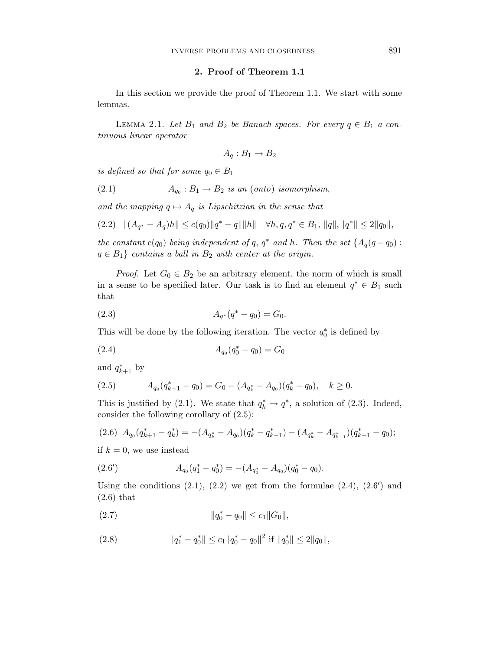#### **2. Proof of Theorem 1.1**

In this section we provide the proof of Theorem 1.1. We start with some lemmas.

LEMMA 2.1. Let  $B_1$  and  $B_2$  be Banach spaces. For every  $q \in B_1$  a continuous linear operator

$$
A_q: B_1 \to B_2
$$

is defined so that for some  $q_0 \in B_1$ 

(2.1) 
$$
A_{q_0}: B_1 \to B_2 \text{ is an (onto) isomorphism,}
$$

and the mapping  $q \mapsto A_q$  is Lipschitzian in the sense that

$$
(2.2) \quad ||(A_{q^*} - A_q)h|| \le c(q_0)||q^* - q|| ||h|| \quad \forall h, q, q^* \in B_1, ||q||, ||q^*|| \le 2||q_0||,
$$

the constant  $c(q_0)$  being independent of q,  $q^*$  and  $h$ . Then the set  $\{A_q(q-q_0):$  $q \in B_1$ } contains a ball in  $B_2$  with center at the origin.

*Proof.* Let  $G_0 \in B_2$  be an arbitrary element, the norm of which is small in a sense to be specified later. Our task is to find an element  $q^* \in B_1$  such that

$$
(2.3) \t\t A_{q^*}(q^*-q_0) = G_0.
$$

This will be done by the following iteration. The vector  $q_0^*$  is defined by

$$
(2.4) \t\t A_{q_0}(q_0^* - q_0) = G_0
$$

and  $q_{k+1}^*$  by

$$
(2.5) \t A_{q_0}(q_{k+1}^* - q_0) = G_0 - (A_{q_k^*} - A_{q_0})(q_k^* - q_0), \quad k \ge 0.
$$

This is justified by (2.1). We state that  $q_k^* \to q^*$ , a solution of (2.3). Indeed, consider the following corollary of (2.5):

$$
(2.6) \ A_{q_0}(q_{k+1}^* - q_k^*) = -(A_{q_k^*} - A_{q_0})(q_k^* - q_{k-1}^*) - (A_{q_k^*} - A_{q_{k-1}^*})(q_{k-1}^* - q_0);
$$

if  $k = 0$ , we use instead

(2.6') 
$$
A_{q_0}(q_1^* - q_0^*) = -(A_{q_0^*} - A_{q_0})(q_0^* - q_0).
$$

Using the conditions  $(2.1)$ ,  $(2.2)$  we get from the formulae  $(2.4)$ ,  $(2.6')$  and (2.6) that

 $||q_0^* - q_0|| \leq c_1 ||G_0||,$ 

(2.8) 
$$
\|q_1^* - q_0^*\| \le c_1 \|q_0^* - q_0\|^2 \text{ if } \|q_0^*\| \le 2\|q_0\|,
$$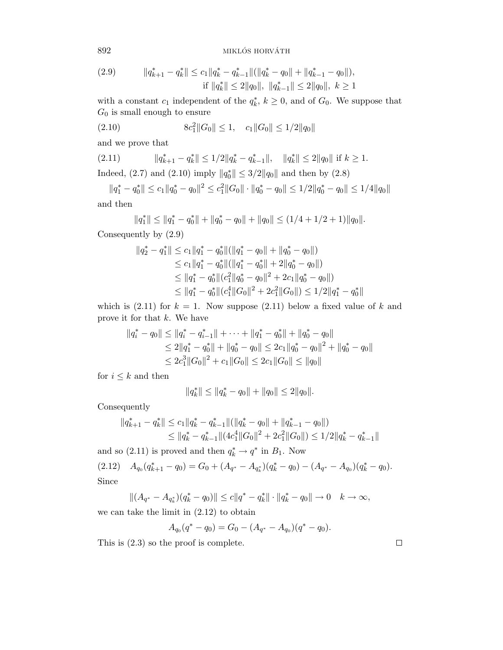${\rm MKLOS~HORY\AA\thinspace TH}$ 

$$
(2.9) \t||q_{k+1}^* - q_k^*|| \le c_1 \|q_k^* - q_{k-1}^*||(\|q_k^* - q_0\| + \|q_{k-1}^* - q_0\|),
$$
  
if  $||q_k^*|| \le 2||q_0||$ ,  $||q_{k-1}^*|| \le 2||q_0||$ ,  $k \ge 1$ 

with a constant  $c_1$  independent of the  $q_k^*, k \ge 0$ , and of  $G_0$ . We suppose that *G*<sup>0</sup> is small enough to ensure

$$
(2.10) \t 8c_12 ||G_0|| \le 1, \t c_1 ||G_0|| \le 1/2||q_0||
$$

and we prove that

(2.11) 
$$
||q_{k+1}^* - q_k^*|| \le 1/2||q_k^* - q_{k-1}^*||, ||q_k^*|| \le 2||q_0|| \text{ if } k \ge 1.
$$
 Indeed, (2.7) and (2.10) imply  $||q_0^*|| \le 3/2||q_0||$  and then by (2.8)

 $||q_1^* - q_0^*|| \leq c_1 ||q_0^* - q_0||^2 \leq c_1^2 ||G_0|| \cdot ||q_0^* - q_0|| \leq 1/2 ||q_0^* - q_0|| \leq 1/4 ||q_0||$ and then

$$
||q_1^*|| \le ||q_1^* - q_0^*|| + ||q_0^* - q_0|| + ||q_0|| \le (1/4 + 1/2 + 1)||q_0||.
$$

Consequently by (2.9)

$$
||q_2^* - q_1^*|| \leq c_1 ||q_1^* - q_0^*|| (||q_1^* - q_0|| + ||q_0^* - q_0||)
$$
  
\n
$$
\leq c_1 ||q_1^* - q_0^*|| (||q_1^* - q_0^*|| + 2||q_0^* - q_0||)
$$
  
\n
$$
\leq ||q_1^* - q_0^*|| (c_1^2 ||q_0^* - q_0||^2 + 2c_1 ||q_0^* - q_0||)
$$
  
\n
$$
\leq ||q_1^* - q_0^*|| (c_1^4 ||G_0||^2 + 2c_1^2 ||G_0||) \leq 1/2 ||q_1^* - q_0^*||
$$

which is  $(2.11)$  for  $k = 1$ . Now suppose  $(2.11)$  below a fixed value of k and prove it for that *k*. We have

$$
||q_i^* - q_0|| \le ||q_i^* - q_{i-1}^*|| + \dots + ||q_1^* - q_0^*|| + ||q_0^* - q_0||
$$
  
\n
$$
\le 2||q_1^* - q_0^*|| + ||q_0^* - q_0|| \le 2c_1||q_0^* - q_0||^2 + ||q_0^* - q_0||
$$
  
\n
$$
\le 2c_1^3||G_0||^2 + c_1||G_0|| \le 2c_1||G_0|| \le ||q_0||
$$

for  $i\leq k$  and then

$$
||q_k^*|| \le ||q_k^* - q_0|| + ||q_0|| \le 2||q_0||.
$$

Consequently

$$
||q_{k+1}^* - q_k^*|| \le c_1 ||q_k^* - q_{k-1}^*|| (||q_k^* - q_0|| + ||q_{k-1}^* - q_0||)
$$
  
\n
$$
\le ||q_k^* - q_{k-1}^*|| (4c_1^4 ||G_0||^2 + 2c_1^2 ||G_0||) \le 1/2 ||q_k^* - q_{k-1}^*||
$$

and so (2.11) is proved and then  $q_k^* \to q^*$  in  $B_1$ . Now  $A_{q_0}(q_{k+1}^* - q_0) = G_0 + (A_{q^*} - A_{q_k})(q_k^* - q_0) - (A_{q^*} - A_{q_0})(q_k^* - q_0).$ Since

$$
||(A_{q^*} - A_{q^*_{k}})(q^*_{k} - q_{0})|| \leq c||q^* - q^*_{k}|| \cdot ||q^*_{k} - q_{0}|| \to 0 \quad k \to \infty,
$$

we can take the limit in (2.12) to obtain

$$
A_{q_0}(q^*-q_0)=G_0-(A_{q^*}-A_{q_0})(q^*-q_0).
$$

This is (2.3) so the proof is complete.

 $\Box$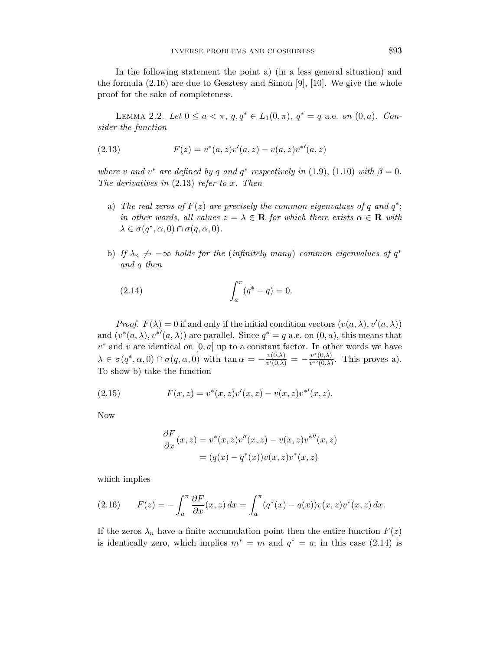In the following statement the point a) (in a less general situation) and the formula (2.16) are due to Gesztesy and Simon [9], [10]. We give the whole proof for the sake of completeness.

LEMMA 2.2. Let  $0 \le a < \pi$ ,  $q, q^* \in L_1(0, \pi)$ ,  $q^* = q$  a.e. on  $(0, a)$ . Consider the function

(2.13) 
$$
F(z) = v^*(a, z)v'(a, z) - v(a, z)v^{*'}(a, z)
$$

where *v* and  $v^*$  are defined by *q* and  $q^*$  respectively in (1.9), (1.10) with  $\beta = 0$ . The derivatives in (2.13) refer to *x*. Then

- a) The real zeros of  $F(z)$  are precisely the common eigenvalues of *q* and  $q^*$ ; in other words, all values  $z = \lambda \in \mathbf{R}$  for which there exists  $\alpha \in \mathbf{R}$  with  $\lambda \in \sigma(q^*, \alpha, 0) \cap \sigma(q, \alpha, 0).$
- b) If  $\lambda_n \nrightarrow -\infty$  holds for the (infinitely many) common eigenvalues of  $q^*$ and *q* then

(2.14) 
$$
\int_{a}^{\pi} (q^* - q) = 0.
$$

*Proof.*  $F(\lambda) = 0$  if and only if the initial condition vectors  $(v(a, \lambda), v'(a, \lambda))$ and  $(v^*(a, \lambda), v^{*}(a, \lambda))$  are parallel. Since  $q^* = q$  a.e. on  $(0, a)$ , this means that *v*∗ and *v* are identical on [0*, a*] up to a constant factor. In other words we have  $\lambda \in \sigma(q^*, \alpha, 0) \cap \sigma(q, \alpha, 0)$  with  $\tan \alpha = -\frac{v(0,\lambda)}{v'(0,\lambda)} = -\frac{v^*(0,\lambda)}{v^*(0,\lambda)}$ . This proves a). To show b) take the function

(2.15) 
$$
F(x, z) = v^*(x, z)v'(x, z) - v(x, z)v^{*'}(x, z).
$$

Now

$$
\frac{\partial F}{\partial x}(x, z) = v^*(x, z)v''(x, z) - v(x, z)v^{*''}(x, z)
$$

$$
= (q(x) - q^*(x))v(x, z)v^*(x, z)
$$

which implies

(2.16) 
$$
F(z) = -\int_{a}^{\pi} \frac{\partial F}{\partial x}(x, z) dx = \int_{a}^{\pi} (q^{*}(x) - q(x)) v(x, z) v^{*}(x, z) dx.
$$

If the zeros  $\lambda_n$  have a finite accumulation point then the entire function  $F(z)$ is identically zero, which implies  $m^* = m$  and  $q^* = q$ ; in this case (2.14) is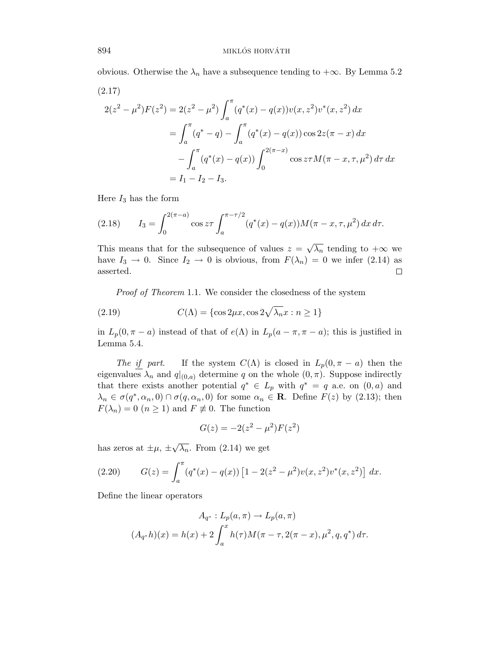obvious. Otherwise the  $\lambda_n$  have a subsequence tending to  $+\infty$ . By Lemma 5.2

$$
(2.17)
$$
  
\n
$$
2(z^{2} - \mu^{2})F(z^{2}) = 2(z^{2} - \mu^{2}) \int_{a}^{\pi} (q^{*}(x) - q(x))v(x, z^{2})v^{*}(x, z^{2}) dx
$$
  
\n
$$
= \int_{a}^{\pi} (q^{*} - q) - \int_{a}^{\pi} (q^{*}(x) - q(x)) \cos 2z(\pi - x) dx
$$
  
\n
$$
- \int_{a}^{\pi} (q^{*}(x) - q(x)) \int_{0}^{2(\pi - x)} \cos z \tau M(\pi - x, \tau, \mu^{2}) d\tau dx
$$
  
\n
$$
= I_{1} - I_{2} - I_{3}.
$$

Here *I*<sup>3</sup> has the form

(2.18) 
$$
I_3 = \int_0^{2(\pi - a)} \cos z \tau \int_a^{\pi - \tau/2} (q^*(x) - q(x)) M(\pi - x, \tau, \mu^2) \, dx \, d\tau.
$$

This means that for the subsequence of values  $z = \sqrt{\lambda_n}$  tending to  $+\infty$  we have  $I_3 \rightarrow 0$ . Since  $I_2 \rightarrow 0$  is obvious, from  $F(\lambda_n) = 0$  we infer (2.14) as asserted.  $\Box$ 

Proof of Theorem 1.1. We consider the closedness of the system

(2.19) 
$$
C(\Lambda) = \{\cos 2\mu x, \cos 2\sqrt{\lambda_n} x : n \ge 1\}
$$

in  $L_p(0, \pi - a)$  instead of that of  $e(\Lambda)$  in  $L_p(a - \pi, \pi - a)$ ; this is justified in Lemma 5.4.

The if part. If the system  $C(\Lambda)$  is closed in  $L_p(0, \pi - a)$  then the eigenvalues  $\lambda_n$  and  $q|_{(0,a)}$  determine q on the whole  $(0, \pi)$ . Suppose indirectly that there exists another potential  $q^* \in L_p$  with  $q^* = q$  a.e. on  $(0, a)$  and  $\lambda_n \in \sigma(q^*, \alpha_n, 0) \cap \sigma(q, \alpha_n, 0)$  for some  $\alpha_n \in \mathbf{R}$ . Define  $F(z)$  by (2.13); then  $F(\lambda_n)=0$  ( $n\geq 1$ ) and  $F\not\equiv 0$ . The function

$$
G(z) = -2(z^2 - \mu^2)F(z^2)
$$

has zeros at  $\pm \mu$ ,  $\pm \sqrt{\lambda_n}$ . From (2.14) we get

(2.20) 
$$
G(z) = \int_a^{\pi} (q^*(x) - q(x)) \left[ 1 - 2(z^2 - \mu^2) v(x, z^2) v^*(x, z^2) \right] dx.
$$

Define the linear operators

$$
A_{q^*}: L_p(a, \pi) \to L_p(a, \pi)
$$
  

$$
(A_{q^*}h)(x) = h(x) + 2 \int_a^x h(\tau)M(\pi - \tau, 2(\pi - x), \mu^2, q, q^*) d\tau.
$$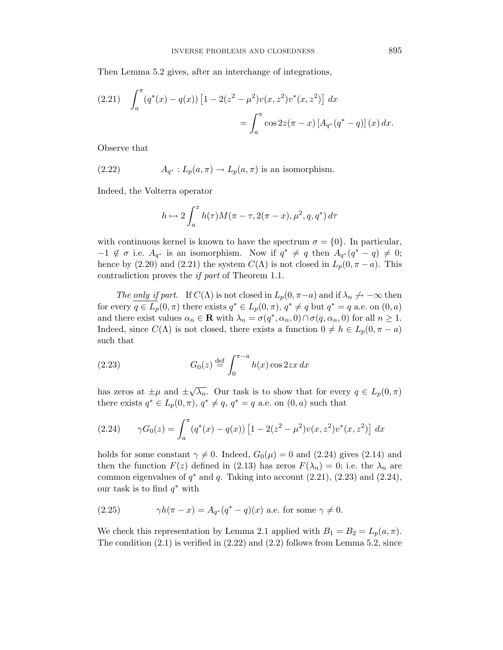Then Lemma 5.2 gives, after an interchange of integrations,

$$
(2.21) \quad \int_a^\pi (q^*(x) - q(x)) \left[ 1 - 2(z^2 - \mu^2) v(x, z^2) v^*(x, z^2) \right] dx
$$
  
= 
$$
\int_a^\pi \cos 2z(\pi - x) \left[ A_{q^*}(q^* - q) \right](x) dx.
$$

Observe that

(2.22) 
$$
A_{q^*}: L_p(a, \pi) \to L_p(a, \pi) \text{ is an isomorphism.}
$$

Indeed, the Volterra operator

$$
h \mapsto 2\int_a^x h(\tau)M(\pi-\tau, 2(\pi-x), \mu^2, q, q^*) d\tau
$$

with continuous kernel is known to have the spectrum  $\sigma = \{0\}$ . In particular,  $-1 \notin \sigma$  i.e.  $A_{q^*}$  is an isomorphism. Now if  $q^* \neq q$  then  $A_{q^*}(q^* - q) \neq 0;$ hence by (2.20) and (2.21) the system  $C(\Lambda)$  is not closed in  $L_p(0, \pi - a)$ . This contradiction proves the if part of Theorem 1.1.

The only if part. If  $C(\Lambda)$  is not closed in  $L_p(0, \pi - a)$  and if  $\lambda_n \nrightarrow -\infty$  then for every  $q \in L_p(0, \pi)$  there exists  $q^* \in L_p(0, \pi)$ ,  $q^* \neq q$  but  $q^* = q$  a.e. on  $(0, a)$ and there exist values  $\alpha_n \in \mathbf{R}$  with  $\lambda_n = \sigma(q^*, \alpha_n, 0) \cap \sigma(q, \alpha_n, 0)$  for all  $n \geq 1$ . Indeed, since  $C(\Lambda)$  is not closed, there exists a function  $0 \neq h \in L_p(0, \pi - a)$ such that

(2.23) 
$$
G_0(z) \stackrel{\text{def}}{=} \int_0^{\pi-a} h(x) \cos 2zx \, dx
$$

has zeros at  $\pm \mu$  and  $\pm \sqrt{\lambda_n}$ . Our task is to show that for every  $q \in L_p(0, \pi)$ there exists  $q^* \in L_p(0, \pi)$ ,  $q^* \neq q$ ,  $q^* = q$  a.e. on  $(0, a)$  such that

(2.24) 
$$
\gamma G_0(z) = \int_a^{\pi} (q^*(x) - q(x)) \left[ 1 - 2(z^2 - \mu^2) v(x, z^2) v^*(x, z^2) \right] dx
$$

holds for some constant  $\gamma \neq 0$ . Indeed,  $G_0(\mu) = 0$  and (2.24) gives (2.14) and then the function  $F(z)$  defined in (2.13) has zeros  $F(\lambda_n) = 0$ ; i.e. the  $\lambda_n$  are common eigenvalues of  $q^*$  and  $q$ . Taking into account  $(2.21)$ ,  $(2.23)$  and  $(2.24)$ , our task is to find *q*∗ with

(2.25) 
$$
\gamma h(\pi - x) = A_{q^*}(q^* - q)(x)
$$
 a.e. for some  $\gamma \neq 0$ .

We check this representation by Lemma 2.1 applied with  $B_1 = B_2 = L_p(a, \pi)$ . The condition  $(2.1)$  is verified in  $(2.22)$  and  $(2.2)$  follows from Lemma 5.2, since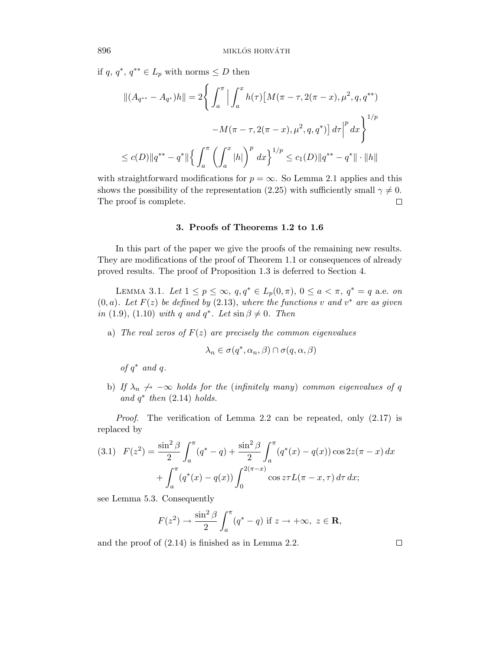if *q*, *q*<sup>∗</sup>, *q*<sup>∗∗</sup> ∈ *L*<sub>p</sub> with norms ≤ *D* then

$$
||(A_{q^{**}} - A_{q^*})h|| = 2\left\{ \int_a^\pi \left| \int_a^x h(\tau) \left[ M(\pi - \tau, 2(\pi - x), \mu^2, q, q^{**}) \right. \right. \\ \left. - M(\pi - \tau, 2(\pi - x), \mu^2, q, q^*) \right] d\tau \right|^{p} dx \right\}^{1/p}
$$
  

$$
\leq c(D) ||q^{**} - q^*|| \left\{ \int_a^\pi \left( \int_a^x |h| \right)^p dx \right\}^{1/p} \leq c_1(D) ||q^{**} - q^*|| \cdot ||h||
$$

with straightforward modifications for  $p = \infty$ . So Lemma 2.1 applies and this shows the possibility of the representation (2.25) with sufficiently small  $\gamma \neq 0$ . The proof is complete.  $\Box$ 

#### **3. Proofs of Theorems 1.2 to 1.6**

In this part of the paper we give the proofs of the remaining new results. They are modifications of the proof of Theorem 1.1 or consequences of already proved results. The proof of Proposition 1.3 is deferred to Section 4.

LEMMA 3.1. Let  $1 \le p \le \infty$ ,  $q, q^* \in L_p(0, \pi)$ ,  $0 \le a < \pi$ ,  $q^* = q$  a.e. on  $(0, a)$ . Let  $F(z)$  be defined by  $(2.13)$ , where the functions *v* and  $v^*$  are as given in (1.9), (1.10) with *q* and  $q^*$ . Let  $\sin \beta \neq 0$ . Then

a) The real zeros of  $F(z)$  are precisely the common eigenvalues

$$
\lambda_n \in \sigma(q^*, \alpha_n, \beta) \cap \sigma(q, \alpha, \beta)
$$

of *q*∗ and *q*.

b) If  $\lambda_n \nightharpoonup -\infty$  holds for the (infinitely many) common eigenvalues of q and  $q^*$  then  $(2.14)$  holds.

Proof. The verification of Lemma 2.2 can be repeated, only (2.17) is replaced by

$$
(3.1) \quad F(z^2) = \frac{\sin^2 \beta}{2} \int_a^\pi (q^* - q) + \frac{\sin^2 \beta}{2} \int_a^\pi (q^*(x) - q(x)) \cos 2z(\pi - x) \, dx
$$

$$
+ \int_a^\pi (q^*(x) - q(x)) \int_0^{2(\pi - x)} \cos z \tau L(\pi - x, \tau) \, d\tau \, dx;
$$

see Lemma 5.3. Consequently

$$
F(z^2) \to \frac{\sin^2 \beta}{2} \int_a^{\pi} (q^* - q) \text{ if } z \to +\infty, \ z \in \mathbf{R},
$$

and the proof of (2.14) is finished as in Lemma 2.2.

 $\Box$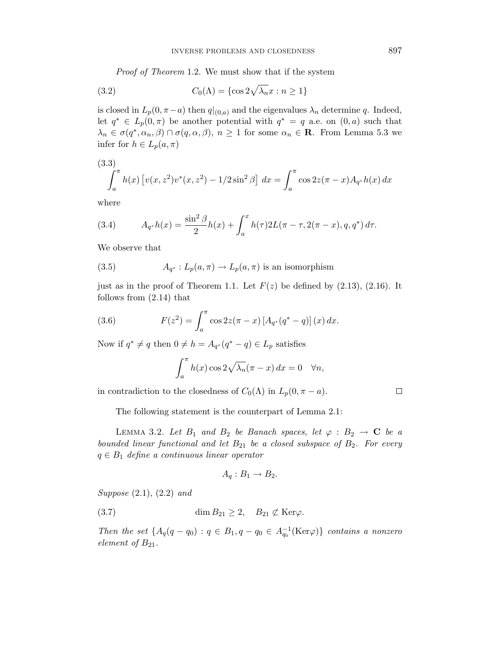Proof of Theorem 1.2. We must show that if the system

(3.2) 
$$
C_0(\Lambda) = \{\cos 2\sqrt{\lambda_n}x : n \ge 1\}
$$

is closed in  $L_p(0, \pi - a)$  then  $q|_{(0,a)}$  and the eigenvalues  $\lambda_n$  determine q. Indeed, let  $q^* \in L_p(0,\pi)$  be another potential with  $q^* = q$  a.e. on  $(0,a)$  such that  $\lambda_n \in \sigma(q^*, \alpha_n, \beta) \cap \sigma(q, \alpha, \beta), n \ge 1$  for some  $\alpha_n \in \mathbb{R}$ . From Lemma 5.3 we infer for  $h \in L_p(a,\pi)$ 

(3.3)  

$$
\int_{a}^{\pi} h(x) \left[ v(x, z^{2}) v^{*}(x, z^{2}) - 1/2 \sin^{2} \beta \right] dx = \int_{a}^{\pi} \cos 2z (\pi - x) A_{q^{*}} h(x) dx
$$

where

(3.4) 
$$
A_{q^*}h(x) = \frac{\sin^2 \beta}{2}h(x) + \int_a^x h(\tau)2L(\pi - \tau, 2(\pi - x), q, q^*) d\tau.
$$

We observe that

(3.5) 
$$
A_{q^*}: L_p(a,\pi) \to L_p(a,\pi) \text{ is an isomorphism}
$$

just as in the proof of Theorem 1.1. Let  $F(z)$  be defined by  $(2.13)$ ,  $(2.16)$ . It follows from (2.14) that

(3.6) 
$$
F(z^2) = \int_a^{\pi} \cos 2z (\pi - x) [A_{q^*}(q^* - q)] (x) dx.
$$

Now if  $q^* \neq q$  then  $0 \neq h = A_{q^*}(q^* - q) \in L_p$  satisfies

$$
\int_a^{\pi} h(x) \cos 2\sqrt{\lambda_n} (\pi - x) dx = 0 \quad \forall n,
$$

in contradiction to the closedness of  $C_0(\Lambda)$  in  $L_p(0, \pi - a)$ .

 $\Box$ 

The following statement is the counterpart of Lemma 2.1:

LEMMA 3.2. Let  $B_1$  and  $B_2$  be Banach spaces, let  $\varphi : B_2 \to \mathbf{C}$  be a bounded linear functional and let  $B_{21}$  be a closed subspace of  $B_2$ . For every  $q \in B_1$  define a continuous linear operator

$$
A_q: B_1 \to B_2.
$$

Suppose (2.1), (2.2) and

(3.7) 
$$
\dim B_{21} \geq 2, \quad B_{21} \not\subset \text{Ker}\varphi.
$$

Then the set  $\{A_q(q - q_0) : q \in B_1, q - q_0 \in A_{q_0}^{-1}(\text{Ker}\varphi)\}\)$  contains a nonzero element of  $B_{21}$ .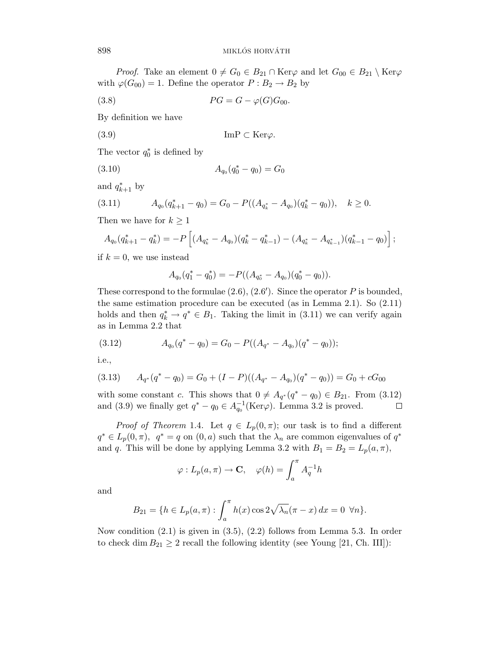*Proof.* Take an element  $0 \neq G_0 \in B_{21} \cap \text{Ker}\varphi$  and let  $G_{00} \in B_{21} \setminus \text{Ker}\varphi$ with  $\varphi(G_{00}) = 1$ . Define the operator  $P : B_2 \to B_2$  by

$$
(3.8) \t\t\t PG = G - \varphi(G)G_{00}.
$$

By definition we have

$$
(3.9) \t\t\t ImP \subset \text{Ker}\varphi.
$$

The vector  $q_0^*$  is defined by

$$
(3.10) \t\t A_{q_0}(q_0^* - q_0) = G_0
$$

and  $q_{k+1}^*$  by

$$
(3.11) \t A_{q_0}(q_{k+1}^* - q_0) = G_0 - P((A_{q_k^*} - A_{q_0})(q_k^* - q_0)), \quad k \ge 0.
$$

Then we have for  $k \geq 1$ 

$$
A_{q_0}(q_{k+1}^* - q_k^*) = -P\left[ (A_{q_k^*} - A_{q_0})(q_k^* - q_{k-1}^*) - (A_{q_k^*} - A_{q_{k-1}^*})(q_{k-1}^* - q_0) \right];
$$

if  $k = 0$ , we use instead

$$
A_{q_0}(q_1^* - q_0^*) = -P((A_{q_0^*} - A_{q_0})(q_0^* - q_0)).
$$

These correspond to the formulae (2.6), (2*.*6 ). Since the operator *P* is bounded, the same estimation procedure can be executed (as in Lemma 2.1). So (2.11) holds and then  $q_k^* \to q^* \in B_1$ . Taking the limit in (3.11) we can verify again as in Lemma 2.2 that

$$
(3.12) \t A_{q_0}(q^* - q_0) = G_0 - P((A_{q^*} - A_{q_0})(q^* - q_0));
$$

i.e.,

$$
(3.13) \qquad A_{q^*}(q^* - q_0) = G_0 + (I - P)((A_{q^*} - A_{q_0})(q^* - q_0)) = G_0 + cG_{00}
$$

with some constant *c*. This shows that  $0 \neq A_{q^*}(q^* - q_0) \in B_{21}$ . From (3.12) and (3.9) we finally get  $q^* - q_0 \in A_{q_0}^{-1}(\text{Ker}\varphi)$ . Lemma 3.2 is proved.  $\Box$ 

*Proof of Theorem* 1.4. Let  $q \in L_p(0, \pi)$ ; our task is to find a different  $q^* \in L_p(0,\pi)$ ,  $q^* = q$  on  $(0,a)$  such that the  $\lambda_n$  are common eigenvalues of  $q^*$ and *q*. This will be done by applying Lemma 3.2 with  $B_1 = B_2 = L_p(a, \pi)$ ,

$$
\varphi: L_p(a, \pi) \to \mathbf{C}, \quad \varphi(h) = \int_a^{\pi} A_q^{-1} h
$$

and

$$
B_{21} = \{ h \in L_p(a, \pi) : \int_a^{\pi} h(x) \cos 2\sqrt{\lambda_n} (\pi - x) \, dx = 0 \ \forall n \}.
$$

Now condition (2.1) is given in (3.5), (2.2) follows from Lemma 5.3. In order to check dim  $B_{21} \geq 2$  recall the following identity (see Young [21, Ch. III]):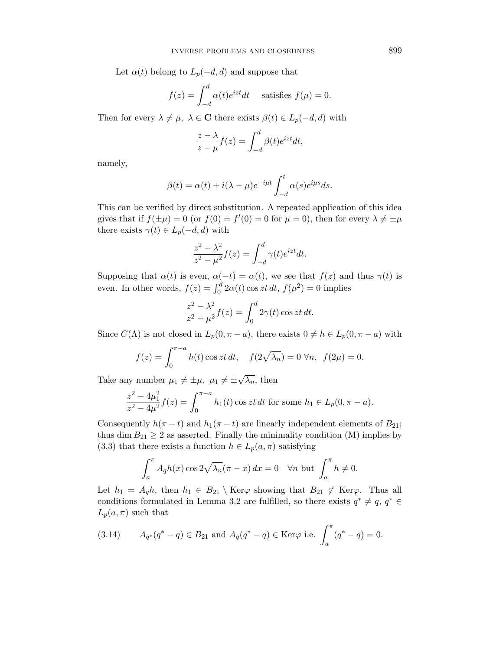Let  $\alpha(t)$  belong to  $L_p(-d, d)$  and suppose that

$$
f(z) = \int_{-d}^{d} \alpha(t)e^{izt}dt
$$
 satisfies  $f(\mu) = 0$ .

Then for every  $\lambda \neq \mu$ ,  $\lambda \in \mathbb{C}$  there exists  $\beta(t) \in L_p(-d, d)$  with

$$
\frac{z-\lambda}{z-\mu}f(z) = \int_{-d}^{d} \beta(t)e^{izt}dt,
$$

namely,

$$
\beta(t) = \alpha(t) + i(\lambda - \mu)e^{-i\mu t} \int_{-d}^{t} \alpha(s)e^{i\mu s} ds.
$$

This can be verified by direct substitution. A repeated application of this idea gives that if  $f(\pm \mu) = 0$  (or  $f(0) = f'(0) = 0$  for  $\mu = 0$ ), then for every  $\lambda \neq \pm \mu$ there exists  $\gamma(t) \in L_p(-d, d)$  with

$$
\frac{z^2 - \lambda^2}{z^2 - \mu^2} f(z) = \int_{-d}^{d} \gamma(t) e^{izt} dt.
$$

Supposing that  $\alpha(t)$  is even,  $\alpha(-t) = \alpha(t)$ , we see that  $f(z)$  and thus  $\gamma(t)$  is even. In other words,  $f(z) = \int_0^d 2\alpha(t) \cos z t \, dt$ ,  $f(\mu^2) = 0$  implies

$$
\frac{z^2 - \lambda^2}{z^2 - \mu^2} f(z) = \int_0^d 2\gamma(t) \cos zt \, dt.
$$

Since  $C(\Lambda)$  is not closed in  $L_p(0, \pi - a)$ , there exists  $0 \neq h \in L_p(0, \pi - a)$  with

$$
f(z) = \int_0^{\pi - a} h(t) \cos zt \, dt, \quad f(2\sqrt{\lambda_n}) = 0 \,\forall n, \, f(2\mu) = 0.
$$

Take any number  $\mu_1 \neq \pm \mu$ ,  $\mu_1 \neq \pm \sqrt{\lambda_n}$ , then

$$
\frac{z^2 - 4\mu_1^2}{z^2 - 4\mu^2} f(z) = \int_0^{\pi - a} h_1(t) \cos zt \, dt \text{ for some } h_1 \in L_p(0, \pi - a).
$$

Consequently  $h(\pi - t)$  and  $h_1(\pi - t)$  are linearly independent elements of  $B_{21}$ ; thus dim  $B_{21} \geq 2$  as asserted. Finally the minimality condition (M) implies by (3.3) that there exists a function  $h \in L_p(a,\pi)$  satisfying

$$
\int_{a}^{\pi} A_q h(x) \cos 2\sqrt{\lambda_n} (\pi - x) dx = 0 \quad \forall n \text{ but } \int_{a}^{\pi} h \neq 0.
$$

Let  $h_1 = A_q h$ , then  $h_1 \in B_{21} \setminus \text{Ker}\varphi$  showing that  $B_{21} \not\subset \text{Ker}\varphi$ . Thus all conditions formulated in Lemma 3.2 are fulfilled, so there exists  $q^* \neq q$ ,  $q^* \in$  $L_p(a,\pi)$  such that

(3.14) 
$$
A_{q^*}(q^* - q) \in B_{21}
$$
 and  $A_q(q^* - q) \in \text{Ker}\varphi$  i.e.  $\int_a^{\pi} (q^* - q) = 0.$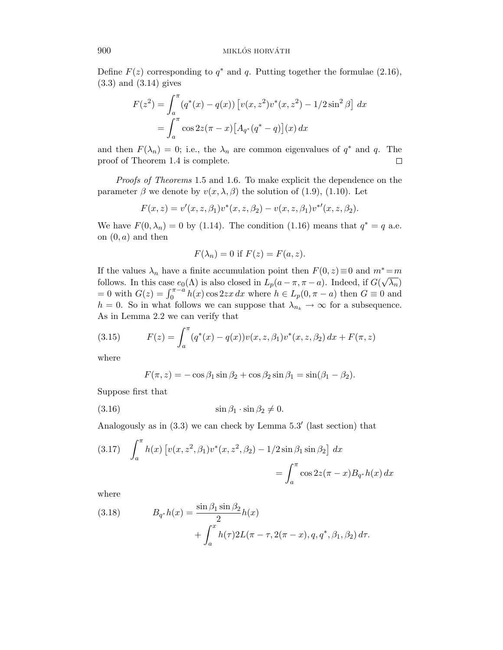Define  $F(z)$  corresponding to  $q^*$  and  $q$ . Putting together the formulae (2.16), (3.3) and (3.14) gives

$$
F(z^2) = \int_a^{\pi} (q^*(x) - q(x)) [v(x, z^2)v^*(x, z^2) - 1/2\sin^2\beta] dx
$$
  
= 
$$
\int_a^{\pi} \cos 2z(\pi - x) [A_{q^*}(q^* - q)](x) dx
$$

and then  $F(\lambda_n) = 0$ ; i.e., the  $\lambda_n$  are common eigenvalues of  $q^*$  and  $q$ . The proof of Theorem 1.4 is complete.  $\Box$ 

Proofs of Theorems 1.5 and 1.6. To make explicit the dependence on the parameter  $\beta$  we denote by  $v(x, \lambda, \beta)$  the solution of (1.9), (1.10). Let

$$
F(x, z) = v'(x, z, \beta_1)v^*(x, z, \beta_2) - v(x, z, \beta_1)v^{*'}(x, z, \beta_2).
$$

We have  $F(0, \lambda_n) = 0$  by (1.14). The condition (1.16) means that  $q^* = q$  a.e. on (0*, a*) and then

$$
F(\lambda_n) = 0
$$
 if  $F(z) = F(a, z)$ .

If the values  $\lambda_n$  have a finite accumulation point then  $F(0, z) \equiv 0$  and  $m^* = m$ follows. In this case  $e_0(\Lambda)$  is also closed in  $L_p(a - \pi, \pi - a)$ . Indeed, if  $G(\sqrt{\lambda_n})$  $= 0$  with  $G(z) = \int_0^{\pi-a} h(x) \cos 2zx \, dx$  where  $h \in L_p(0, \pi - a)$  then  $G \equiv 0$  and  $h = 0$ . So in what follows we can suppose that  $\lambda_{n_k} \to \infty$  for a subsequence. As in Lemma 2.2 we can verify that

(3.15) 
$$
F(z) = \int_a^{\pi} (q^*(x) - q(x))v(x, z, \beta_1)v^*(x, z, \beta_2) dx + F(\pi, z)
$$

where

$$
F(\pi, z) = -\cos\beta_1 \sin\beta_2 + \cos\beta_2 \sin\beta_1 = \sin(\beta_1 - \beta_2).
$$

Suppose first that

$$
(3.16) \t\t\t\t\t\t\sin \beta_1 \cdot \sin \beta_2 \neq 0.
$$

Analogously as in  $(3.3)$  we can check by Lemma  $5.3'$  (last section) that

(3.17) 
$$
\int_{a}^{\pi} h(x) \left[ v(x, z^2, \beta_1) v^*(x, z^2, \beta_2) - 1/2 \sin \beta_1 \sin \beta_2 \right] dx
$$

$$
= \int_{a}^{\pi} \cos 2z (\pi - x) B_{q^*} h(x) dx
$$

where

(3.18) 
$$
B_{q^*}h(x) = \frac{\sin \beta_1 \sin \beta_2}{2}h(x) + \int_a^x h(\tau)2L(\pi - \tau, 2(\pi - x), q, q^*, \beta_1, \beta_2) d\tau.
$$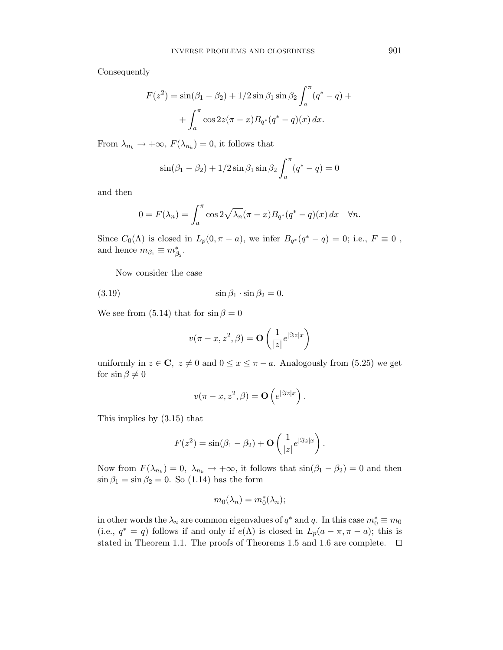Consequently

$$
F(z^{2}) = \sin(\beta_{1} - \beta_{2}) + 1/2 \sin \beta_{1} \sin \beta_{2} \int_{a}^{\pi} (q^{*} - q) +
$$

$$
+ \int_{a}^{\pi} \cos 2z (\pi - x) B_{q^{*}}(q^{*} - q) (x) dx.
$$

From  $\lambda_{n_k} \to +\infty$ ,  $F(\lambda_{n_k}) = 0$ , it follows that

$$
\sin(\beta_1 - \beta_2) + 1/2 \sin \beta_1 \sin \beta_2 \int_a^{\pi} (q^* - q) = 0
$$

and then

$$
0 = F(\lambda_n) = \int_a^{\pi} \cos 2\sqrt{\lambda_n} (\pi - x) B_{q^*}(q^* - q)(x) dx \quad \forall n.
$$

Since  $C_0(\Lambda)$  is closed in  $L_p(0, \pi - a)$ , we infer  $B_{q^*}(q^* - q) = 0$ ; i.e.,  $F \equiv 0$ , and hence  $m_{\beta_1} \equiv m_{\beta_2}^*$ .

Now consider the case

(3.19) sin *β*<sup>1</sup> · sin *β*<sup>2</sup> = 0*.*

We see from (5.14) that for  $\sin \beta = 0$ 

$$
v(\pi - x, z^2, \beta) = \mathbf{O}\left(\frac{1}{|z|}e^{|\Im z| x}\right)
$$

uniformly in  $z \in \mathbb{C}$ ,  $z \neq 0$  and  $0 \leq x \leq \pi - a$ . Analogously from (5.25) we get for  $\sin \beta \neq 0$ 

$$
v(\pi - x, z^2, \beta) = \mathbf{O}\left(e^{|\Im z| x}\right).
$$

This implies by (3.15) that

$$
F(z^2) = \sin(\beta_1 - \beta_2) + \mathbf{O}\left(\frac{1}{|z|}e^{|\Im z| x}\right).
$$

Now from  $F(\lambda_{n_k})=0$ ,  $\lambda_{n_k} \to +\infty$ , it follows that  $\sin(\beta_1 - \beta_2) = 0$  and then  $\sin \beta_1 = \sin \beta_2 = 0$ . So (1.14) has the form

$$
m_0(\lambda_n) = m_0^*(\lambda_n);
$$

in other words the  $\lambda_n$  are common eigenvalues of  $q^*$  and  $q$ . In this case  $m_0^* \equiv m_0$ (i.e.,  $q^* = q$ ) follows if and only if  $e(\Lambda)$  is closed in  $L_p(a - \pi, \pi - a)$ ; this is stated in Theorem 1.1. The proofs of Theorems 1.5 and 1.6 are complete.  $\Box$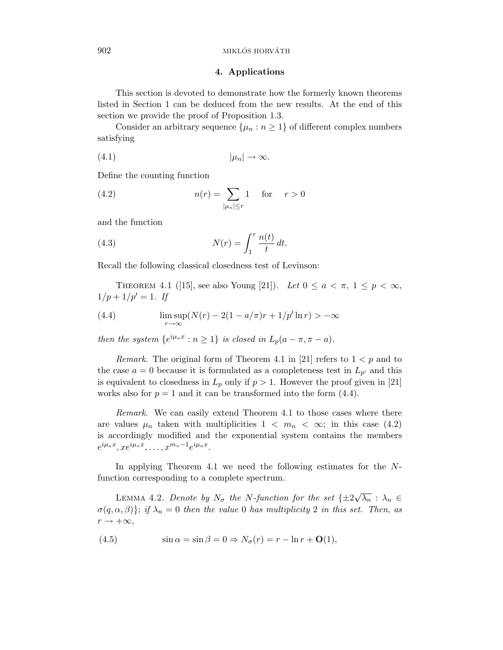### **4. Applications**

This section is devoted to demonstrate how the formerly known theorems listed in Section 1 can be deduced from the new results. At the end of this section we provide the proof of Proposition 1.3.

Consider an arbitrary sequence  $\{\mu_n : n \geq 1\}$  of different complex numbers satisfying

$$
(4.1) \t\t |\mu_n| \to \infty.
$$

Define the counting function

(4.2) 
$$
n(r) = \sum_{|\mu_n| \le r} 1 \quad \text{for} \quad r > 0
$$

and the function

(4.3) 
$$
N(r) = \int_1^r \frac{n(t)}{t} dt.
$$

Recall the following classical closedness test of Levinson:

THEOREM 4.1 ([15], see also Young [21]). Let  $0 \le a < \pi$ ,  $1 \le p < \infty$ ,  $1/p + 1/p' = 1$ . If

(4.4) 
$$
\limsup_{r \to \infty} (N(r) - 2(1 - a/\pi)r + 1/p' \ln r) > -\infty
$$

then the system  $\{e^{i\mu_n x} : n \ge 1\}$  is closed in  $L_p(a - \pi, \pi - a)$ .

*Remark.* The original form of Theorem 4.1 in [21] refers to  $1 < p$  and to the case  $a = 0$  because it is formulated as a completeness test in  $L_{p'}$  and this is equivalent to closedness in  $L_p$  only if  $p > 1$ . However the proof given in [21] works also for  $p = 1$  and it can be transformed into the form  $(4.4)$ .

Remark. We can easily extend Theorem 4.1 to those cases where there are values  $\mu_n$  taken with multiplicities  $1 \langle m_n \rangle \langle \infty;$  in this case (4.2) is accordingly modified and the exponential system contains the members  $e^{i\mu_n x}, xe^{i\mu_n x}, \ldots, x^{m_n-1}e^{i\mu_n x}.$ 

In applying Theorem 4.1 we need the following estimates for the *N*function corresponding to a complete spectrum.

LEMMA 4.2. Denote by  $N_{\sigma}$  the *N*-function for the set  $\{\pm 2\sqrt{\lambda_n}: \lambda_n \in$  $\sigma(q,\alpha,\beta)$ ; if  $\lambda_n = 0$  then the value 0 has multiplicity 2 in this set. Then, as  $r \rightarrow +\infty$ ,

(4.5) 
$$
\sin \alpha = \sin \beta = 0 \Rightarrow N_{\sigma}(r) = r - \ln r + O(1),
$$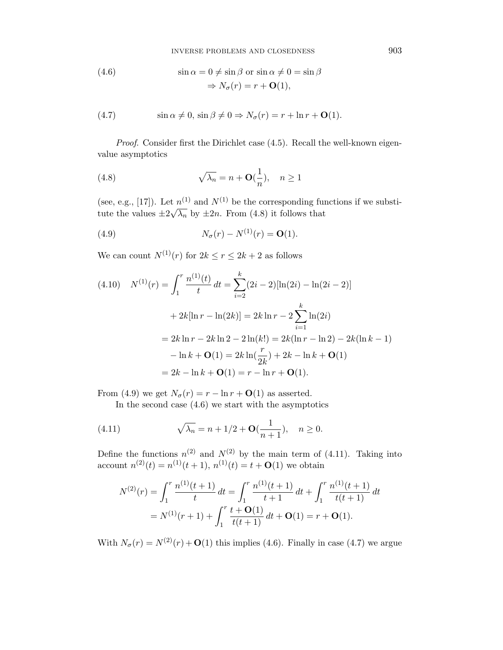INVERSE PROBLEMS AND CLOSEDNESS

(4.6) 
$$
\sin \alpha = 0 \neq \sin \beta \text{ or } \sin \alpha \neq 0 = \sin \beta
$$

$$
\Rightarrow N_{\sigma}(r) = r + \mathbf{O}(1),
$$

(4.7) 
$$
\sin \alpha \neq 0, \sin \beta \neq 0 \Rightarrow N_{\sigma}(r) = r + \ln r + O(1).
$$

Proof. Consider first the Dirichlet case (4.5). Recall the well-known eigenvalue asymptotics

(4.8) 
$$
\sqrt{\lambda_n} = n + \mathbf{O}(\frac{1}{n}), \quad n \ge 1
$$

(see, e.g., [17]). Let  $n^{(1)}$  and  $N^{(1)}$  be the corresponding functions if we substi-(see, e.g., [17]). Let  $h^{(3)}$  and  $2\sqrt{9}$  be the corresponding function of  $h^{(3)}$  by  $\pm 2n$ . From (4.8) it follows that

(4.9) 
$$
N_{\sigma}(r) - N^{(1)}(r) = \mathbf{O}(1).
$$

We can count  $N^{(1)}(r)$  for  $2k \le r \le 2k+2$  as follows

$$
(4.10) \quad N^{(1)}(r) = \int_{1}^{r} \frac{n^{(1)}(t)}{t} dt = \sum_{i=2}^{k} (2i - 2)[\ln(2i) - \ln(2i - 2)]
$$

$$
+ 2k[\ln r - \ln(2k)] = 2k \ln r - 2 \sum_{i=1}^{k} \ln(2i)
$$

$$
= 2k \ln r - 2k \ln 2 - 2 \ln(k!) = 2k(\ln r - \ln 2) - 2k(\ln k - 1)
$$

$$
- \ln k + O(1) = 2k \ln(\frac{r}{2k}) + 2k - \ln k + O(1)
$$

$$
= 2k - \ln k + O(1) = r - \ln r + O(1).
$$

From (4.9) we get  $N_{\sigma}(r) = r - \ln r + O(1)$  as asserted.

In the second case  $(4.6)$  we start with the asymptotics

(4.11) 
$$
\sqrt{\lambda_n} = n + 1/2 + \mathbf{O}(\frac{1}{n+1}), \quad n \ge 0.
$$

Define the functions  $n^{(2)}$  and  $N^{(2)}$  by the main term of (4.11). Taking into account  $n^{(2)}(t) = n^{(1)}(t+1), n^{(1)}(t) = t + O(1)$  we obtain

$$
N^{(2)}(r) = \int_1^r \frac{n^{(1)}(t+1)}{t} dt = \int_1^r \frac{n^{(1)}(t+1)}{t+1} dt + \int_1^r \frac{n^{(1)}(t+1)}{t(t+1)} dt
$$
  
=  $N^{(1)}(r+1) + \int_1^r \frac{t+O(1)}{t(t+1)} dt + O(1) = r + O(1).$ 

With  $N_{\sigma}(r) = N^{(2)}(r) + \mathbf{O}(1)$  this implies (4.6). Finally in case (4.7) we argue

903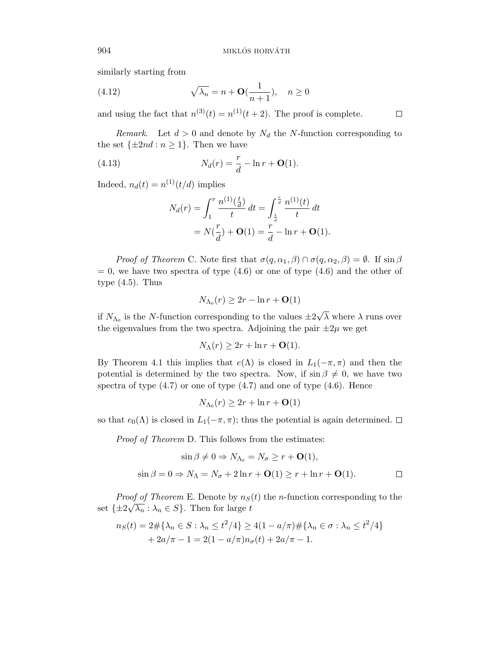similarly starting from

(4.12) 
$$
\sqrt{\lambda_n} = n + \mathbf{O}(\frac{1}{n+1}), \quad n \ge 0
$$

and using the fact that  $n^{(3)}(t) = n^{(1)}(t+2)$ . The proof is complete.

*Remark.* Let  $d > 0$  and denote by  $N_d$  the *N*-function corresponding to the set  $\{\pm 2nd : n \geq 1\}$ . Then we have

(4.13) 
$$
N_d(r) = \frac{r}{d} - \ln r + \mathbf{O}(1).
$$

Indeed,  $n_d(t) = n^{(1)}(t/d)$  implies

$$
N_d(r) = \int_1^r \frac{n^{(1)}(\frac{t}{d})}{t} dt = \int_{\frac{1}{d}}^{\frac{r}{d}} \frac{n^{(1)}(t)}{t} dt
$$
  
=  $N(\frac{r}{d}) + \mathbf{O}(1) = \frac{r}{d} - \ln r + \mathbf{O}(1).$ 

*Proof of Theorem* C. Note first that  $\sigma(q, \alpha_1, \beta) \cap \sigma(q, \alpha_2, \beta) = \emptyset$ . If  $\sin \beta$  $= 0$ , we have two spectra of type  $(4.6)$  or one of type  $(4.6)$  and the other of type  $(4.5)$ . Thus

$$
N_{\Lambda_0}(r) \ge 2r - \ln r + \mathbf{O}(1)
$$

if  $N_{\Lambda_0}$  is the *N*-function corresponding to the values  $\pm 2$ √  $\lambda$  where  $\lambda$  runs over the eigenvalues from the two spectra. Adjoining the pair  $\pm 2\mu$  we get

$$
N_{\Lambda}(r) \geq 2r + \ln r + \mathbf{O}(1).
$$

By Theorem 4.1 this implies that  $e(Λ)$  is closed in  $L_1(-π, π)$  and then the potential is determined by the two spectra. Now, if  $\sin \beta \neq 0$ , we have two spectra of type  $(4.7)$  or one of type  $(4.7)$  and one of type  $(4.6)$ . Hence

$$
N_{\Lambda_0}(r) \ge 2r + \ln r + \mathbf{O}(1)
$$

so that  $e_0(\Lambda)$  is closed in  $L_1(-\pi,\pi)$ ; thus the potential is again determined.  $\Box$ 

Proof of Theorem D. This follows from the estimates:

$$
\sin \beta \neq 0 \Rightarrow N_{\Lambda_0} = N_{\sigma} \geq r + \mathbf{O}(1),
$$
  

$$
\sin \beta = 0 \Rightarrow N_{\Lambda} = N_{\sigma} + 2\ln r + \mathbf{O}(1) \geq r + \ln r + \mathbf{O}(1).
$$

*Proof of Theorem* E. Denote by  $n<sub>S</sub>(t)$  the *n*-function corresponding to the set  $\{\pm 2\sqrt{\lambda_n} : \lambda_n \in S\}$ . Then for large *t* 

$$
n_S(t) = 2 \# \{ \lambda_n \in S : \lambda_n \le t^2/4 \} \ge 4(1 - a/\pi) \# \{ \lambda_n \in \sigma : \lambda_n \le t^2/4 \} + 2a/\pi - 1 = 2(1 - a/\pi)n_\sigma(t) + 2a/\pi - 1.
$$

 $\Box$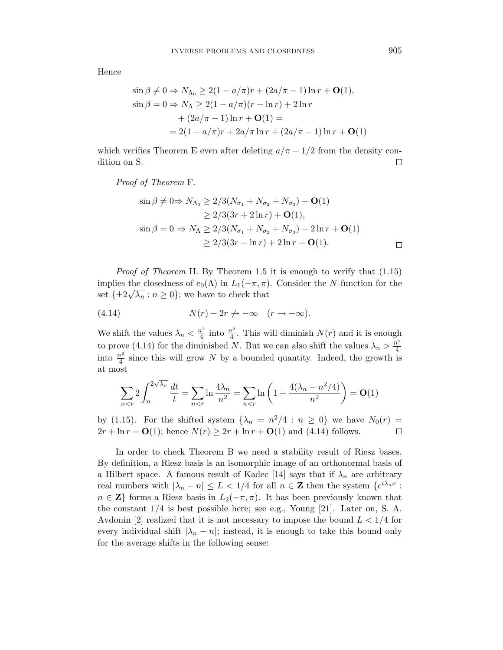Hence

$$
\sin \beta \neq 0 \Rightarrow N_{\Lambda_0} \geq 2(1 - a/\pi)r + (2a/\pi - 1)\ln r + O(1),
$$
  
\n
$$
\sin \beta = 0 \Rightarrow N_{\Lambda} \geq 2(1 - a/\pi)(r - \ln r) + 2\ln r + (2a/\pi - 1)\ln r + O(1) =
$$
  
\n
$$
= 2(1 - a/\pi)r + 2a/\pi \ln r + (2a/\pi - 1)\ln r + O(1)
$$

which verifies Theorem E even after deleting  $a/\pi - 1/2$  from the density condition on S.  $\Box$ 

Proof of Theorem F.

$$
\sin \beta \neq 0 \Rightarrow N_{\Lambda_0} \geq 2/3(N_{\sigma_1} + N_{\sigma_2} + N_{\sigma_3}) + \mathbf{O}(1) \geq 2/3(3r + 2\ln r) + \mathbf{O}(1), \n\sin \beta = 0 \Rightarrow N_{\Lambda} \geq 2/3(N_{\sigma_1} + N_{\sigma_2} + N_{\sigma_3}) + 2\ln r + \mathbf{O}(1) \geq 2/3(3r - \ln r) + 2\ln r + \mathbf{O}(1).
$$

Proof of Theorem H. By Theorem 1.5 it is enough to verify that (1.15) implies the closedness of  $e_0(\Lambda)$  in  $L_1(-\pi, \pi)$ . Consider the *N*-function for the set  $\{\pm 2\sqrt{\lambda_n} : n \ge 0\}$ ; we have to check that

(4.14) 
$$
N(r) - 2r \nightharpoonup -\infty \quad (r \to +\infty).
$$

We shift the values  $\lambda_n < \frac{n^2}{4}$  into  $\frac{n^2}{4}$ . This will diminish  $N(r)$  and it is enough to prove (4.14) for the diminished *N*. But we can also shift the values  $\lambda_n > \frac{n^2}{4}$ into  $\frac{n^2}{4}$  since this will grow *N* by a bounded quantity. Indeed, the growth is at most

$$
\sum_{n < r} 2 \int_n^{2\sqrt{\lambda_n}} \frac{dt}{t} = \sum_{n < r} \ln \frac{4\lambda_n}{n^2} = \sum_{n < r} \ln \left(1 + \frac{4(\lambda_n - n^2/4)}{n^2}\right) = \mathbf{O}(1)
$$

by (1.15). For the shifted system  $\{\lambda_n = n^2/4 : n \geq 0\}$  we have  $N_0(r)$  $2r + \ln r + O(1)$ ; hence  $N(r) \geq 2r + \ln r + O(1)$  and (4.14) follows.  $\Box$ 

In order to check Theorem B we need a stability result of Riesz bases. By definition, a Riesz basis is an isomorphic image of an orthonormal basis of a Hilbert space. A famous result of Kadec [14] says that if  $\lambda_n$  are arbitrary real numbers with  $|\lambda_n - n| \leq L < 1/4$  for all  $n \in \mathbb{Z}$  then the system  $\{e^{i\lambda_n x}$ :  $n \in \mathbb{Z}$  forms a Riesz basis in  $L_2(-\pi, \pi)$ . It has been previously known that the constant 1/4 is best possible here; see e.g., Young [21]. Later on, S. A. Avdonin [2] realized that it is not necessary to impose the bound  $L < 1/4$  for every individual shift  $|\lambda_n - n|$ ; instead, it is enough to take this bound only for the average shifts in the following sense: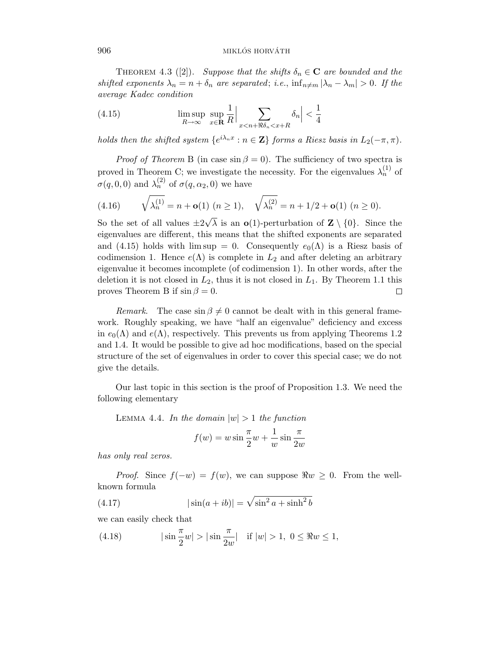### 906 MIKLÓS HORVÁTH

THEOREM 4.3 ([2]). Suppose that the shifts  $\delta_n \in \mathbb{C}$  are bounded and the shifted exponents  $\lambda_n = n + \delta_n$  are separated; i.e.,  $\inf_{n \neq m} |\lambda_n - \lambda_m| > 0$ . If the average Kadec condition

(4.15) 
$$
\limsup_{R \to \infty} \sup_{x \in \mathbf{R}} \frac{1}{R} \Big| \sum_{x < n + \Re \delta_n < x + R} \delta_n \Big| < \frac{1}{4}
$$

holds then the shifted system  $\{e^{i\lambda_n x}: n \in \mathbb{Z}\}\$  forms a Riesz basis in  $L_2(-\pi, \pi)$ .

*Proof of Theorem* B (in case  $\sin \beta = 0$ ). The sufficiency of two spectra is proved in Theorem C; we investigate the necessity. For the eigenvalues  $\lambda_n^{(1)}$  of  $\sigma(q,0,0)$  and  $\lambda_n^{(2)}$  of  $\sigma(q,\alpha_2,0)$  we have

(4.16) 
$$
\sqrt{\lambda_n^{(1)}} = n + \mathbf{o}(1) \ (n \ge 1), \quad \sqrt{\lambda_n^{(2)}} = n + 1/2 + \mathbf{o}(1) \ (n \ge 0).
$$

So the set of all values  $\pm 2$  $\lambda$  is an **o**(1)-perturbation of **Z** \ {0}. Since the eigenvalues are different, this means that the shifted exponents are separated and (4.15) holds with  $\limsup = 0$ . Consequently  $e_0(\Lambda)$  is a Riesz basis of codimension 1. Hence  $e(\Lambda)$  is complete in  $L_2$  and after deleting an arbitrary eigenvalue it becomes incomplete (of codimension 1). In other words, after the deletion it is not closed in  $L_2$ , thus it is not closed in  $L_1$ . By Theorem 1.1 this proves Theorem B if  $\sin \beta = 0$ . □

*Remark.* The case  $\sin \beta \neq 0$  cannot be dealt with in this general framework. Roughly speaking, we have "half an eigenvalue" deficiency and excess in  $e_0(\Lambda)$  and  $e(\Lambda)$ , respectively. This prevents us from applying Theorems 1.2 and 1.4. It would be possible to give ad hoc modifications, based on the special structure of the set of eigenvalues in order to cover this special case; we do not give the details.

Our last topic in this section is the proof of Proposition 1.3. We need the following elementary

LEMMA 4.4. In the domain  $|w| > 1$  the function

$$
f(w) = w \sin \frac{\pi}{2} w + \frac{1}{w} \sin \frac{\pi}{2w}
$$

has only real zeros.

*Proof.* Since  $f(-w) = f(w)$ , we can suppose  $\Re w \geq 0$ . From the wellknown formula

(4.17) 
$$
|\sin(a+ib)| = \sqrt{\sin^2 a + \sinh^2 b}
$$

we can easily check that

(4.18) 
$$
|\sin \frac{\pi}{2} w| > |\sin \frac{\pi}{2w}| \text{ if } |w| > 1, 0 \leq \Re w \leq 1,
$$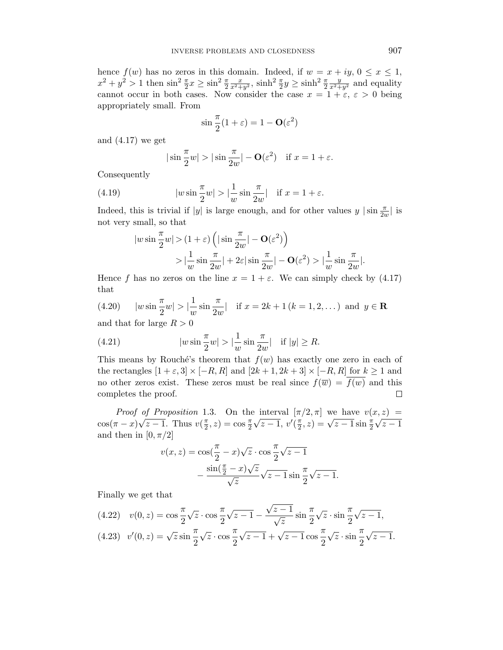hence  $f(w)$  has no zeros in this domain. Indeed, if  $w = x + iy, 0 \le x \le 1$ ,  $x^2 + y^2 > 1$  then  $\sin^2 \frac{\pi}{2} x \ge \sin^2 \frac{\pi}{2}$  $\frac{x}{x^2+y^2}$ ,  $\sinh^2 \frac{\pi}{2}y \ge \sinh^2 \frac{\pi}{2}$  $\frac{y}{x^2+y^2}$  and equality cannot occur in both cases. Now consider the case  $x = 1 + \varepsilon$ ,  $\varepsilon > 0$  being appropriately small. From

$$
\sin\frac{\pi}{2}(1+\varepsilon) = 1 - \mathbf{O}(\varepsilon^2)
$$

and (4.17) we get

$$
|\sin \frac{\pi}{2} w| > |\sin \frac{\pi}{2w}| - O(\varepsilon^2)
$$
 if  $x = 1 + \varepsilon$ .

Consequently

(4.19) 
$$
|w\sin\frac{\pi}{2}w| > |\frac{1}{w}\sin\frac{\pi}{2w}| \text{ if } x = 1 + \varepsilon.
$$

Indeed, this is trivial if  $|y|$  is large enough, and for other values  $y |sin \frac{\pi}{2w}|$  is not very small, so that

$$
|w\sin\frac{\pi}{2}w| > (1+\varepsilon)\left(|\sin\frac{\pi}{2w}| - \mathbf{O}(\varepsilon^2)\right) > |\frac{1}{w}\sin\frac{\pi}{2w}| + 2\varepsilon|\sin\frac{\pi}{2w}| - \mathbf{O}(\varepsilon^2) > |\frac{1}{w}\sin\frac{\pi}{2w}|.
$$

Hence *f* has no zeros on the line  $x = 1 + \varepsilon$ . We can simply check by (4.17) that

(4.20) 
$$
|w \sin \frac{\pi}{2} w| > |\frac{1}{w} \sin \frac{\pi}{2w}|
$$
 if  $x = 2k + 1 (k = 1, 2, ...)$  and  $y \in \mathbb{R}$ 

and that for large *R >* 0

(4.21) 
$$
|w \sin \frac{\pi}{2} w| > |\frac{1}{w} \sin \frac{\pi}{2w}|
$$
 if  $|y| \ge R$ .

This means by Rouché's theorem that  $f(w)$  has exactly one zero in each of the rectangles  $[1 + \varepsilon, 3] \times [-R, R]$  and  $[2k + 1, 2k + 3] \times [-R, R]$  for  $k \ge 1$  and no other zeros exist. These zeros must be real since  $f(\overline{w}) = f(w)$  and this completes the proof. □

*Proof of Proposition* 1.3. On the interval  $[\pi/2, \pi]$  we have  $v(x, z)$  =  $\cos(\pi - x)\sqrt{z-1}$ . Thus  $v(\frac{\pi}{2}, z) = \cos\frac{\pi}{2}\sqrt{z-1}$ ,  $v'(\frac{\pi}{2}, z) = \sqrt{z-1}\sin\frac{\pi}{2}\sqrt{z-1}$ and then in  $[0, \pi/2]$ 

$$
v(x, z) = \cos(\frac{\pi}{2} - x)\sqrt{z} \cdot \cos\frac{\pi}{2}\sqrt{z - 1}
$$

$$
-\frac{\sin(\frac{\pi}{2} - x)\sqrt{z}}{\sqrt{z}}\sqrt{z - 1}\sin\frac{\pi}{2}\sqrt{z - 1}.
$$

Finally we get that

(4.22) 
$$
v(0, z) = \cos \frac{\pi}{2} \sqrt{z} \cdot \cos \frac{\pi}{2} \sqrt{z - 1} - \frac{\sqrt{z - 1}}{\sqrt{z}} \sin \frac{\pi}{2} \sqrt{z} \cdot \sin \frac{\pi}{2} \sqrt{z - 1},
$$
  
(4.23) 
$$
v'(0, z) = \sqrt{z} \sin \frac{\pi}{2} \sqrt{z} \cdot \cos \frac{\pi}{2} \sqrt{z - 1} + \sqrt{z - 1} \cos \frac{\pi}{2} \sqrt{z} \cdot \sin \frac{\pi}{2} \sqrt{z - 1}.
$$

$$
(4.23) \quad v'(0,z) = \sqrt{z} \sin \frac{\pi}{2} \sqrt{z} \cdot \cos \frac{\pi}{2} \sqrt{z-1} + \sqrt{z-1} \cos \frac{\pi}{2} \sqrt{z} \cdot \sin \frac{\pi}{2} \sqrt{z-1}.
$$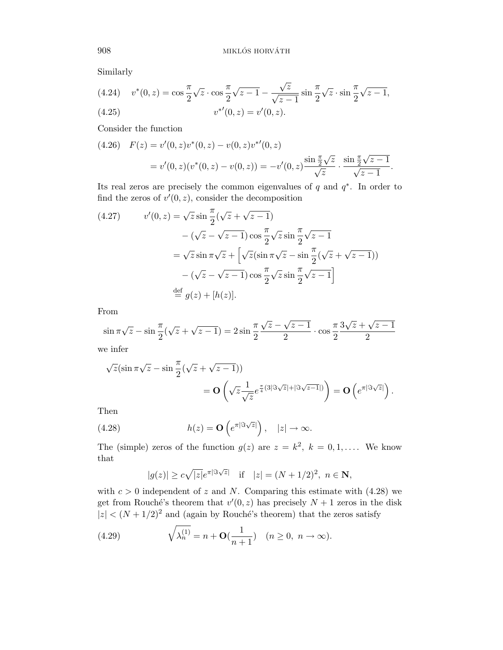Similarly

(4.24) 
$$
v^*(0, z) = \cos \frac{\pi}{2} \sqrt{z} \cdot \cos \frac{\pi}{2} \sqrt{z - 1} - \frac{\sqrt{z}}{\sqrt{z - 1}} \sin \frac{\pi}{2} \sqrt{z} \cdot \sin \frac{\pi}{2} \sqrt{z - 1},
$$
  
(4.25) 
$$
v^{*'}(0, z) = v'(0, z).
$$

Consider the function

$$
(4.26) \quad F(z) = v'(0, z)v^*(0, z) - v(0, z)v^{*'}(0, z)
$$
\n
$$
= v'(0, z)(v^*(0, z) - v(0, z)) = -v'(0, z)\frac{\sin\frac{\pi}{2}\sqrt{z}}{\sqrt{z}} \cdot \frac{\sin\frac{\pi}{2}\sqrt{z-1}}{\sqrt{z-1}}.
$$

Its real zeros are precisely the common eigenvalues of *q* and *q*∗. In order to find the zeros of  $v'(0, z)$ , consider the decomposition

(4.27) 
$$
v'(0, z) = \sqrt{z} \sin \frac{\pi}{2} (\sqrt{z} + \sqrt{z - 1})
$$

$$
- (\sqrt{z} - \sqrt{z - 1}) \cos \frac{\pi}{2} \sqrt{z} \sin \frac{\pi}{2} \sqrt{z - 1}
$$

$$
= \sqrt{z} \sin \pi \sqrt{z} + \left[ \sqrt{z} (\sin \pi \sqrt{z} - \sin \frac{\pi}{2} (\sqrt{z} + \sqrt{z - 1})) - (\sqrt{z} - \sqrt{z - 1}) \cos \frac{\pi}{2} \sqrt{z} \sin \frac{\pi}{2} \sqrt{z - 1} \right]
$$

$$
\stackrel{\text{def}}{=} g(z) + [h(z)].
$$

From

$$
\sin \pi \sqrt{z} - \sin \frac{\pi}{2} (\sqrt{z} + \sqrt{z - 1}) = 2 \sin \frac{\pi}{2} \frac{\sqrt{z} - \sqrt{z - 1}}{2} \cdot \cos \frac{\pi}{2} \frac{3\sqrt{z} + \sqrt{z - 1}}{2}
$$

we infer

$$
\sqrt{z}(\sin \pi \sqrt{z} - \sin \frac{\pi}{2}(\sqrt{z} + \sqrt{z} - 1))
$$
  
= 
$$
\mathbf{O}\left(\sqrt{z} \frac{1}{\sqrt{z}} e^{\frac{\pi}{4}(3|\Im \sqrt{z}| + |\Im \sqrt{z} - 1|)}\right) = \mathbf{O}\left(e^{\pi |\Im \sqrt{z}|}\right).
$$

Then

(4.28) 
$$
h(z) = \mathbf{O}\left(e^{\pi |\Im \sqrt{z}|}\right), \quad |z| \to \infty.
$$

The (simple) zeros of the function  $g(z)$  are  $z = k^2$ ,  $k = 0, 1, \ldots$ . We know that

$$
|g(z)| \ge c\sqrt{|z|}e^{\pi|\Im\sqrt{z}|}
$$
 if  $|z| = (N+1/2)^2$ ,  $n \in \mathbb{N}$ ,

with  $c > 0$  independent of *z* and *N*. Comparing this estimate with  $(4.28)$  we get from Rouché's theorem that  $v'(0, z)$  has precisely  $N + 1$  zeros in the disk  $|z| < (N + 1/2)^2$  and (again by Rouché's theorem) that the zeros satisfy

(4.29) 
$$
\sqrt{\lambda_n^{(1)}} = n + \mathbf{O}(\frac{1}{n+1}) \quad (n \ge 0, \ n \to \infty).
$$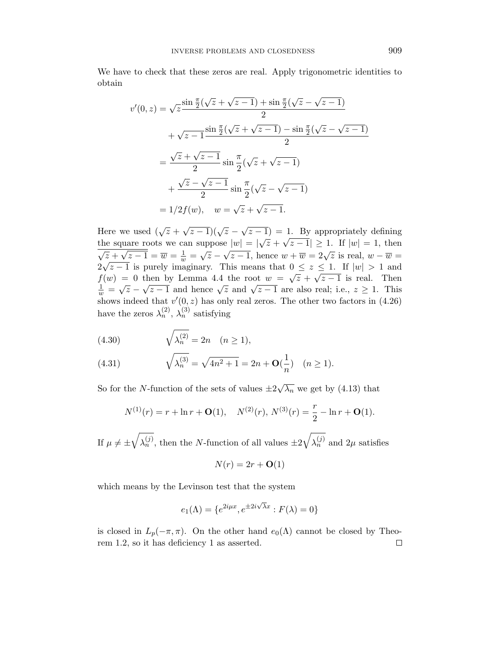We have to check that these zeros are real. Apply trigonometric identities to obtain

$$
v'(0, z) = \sqrt{z} \frac{\sin \frac{\pi}{2}(\sqrt{z} + \sqrt{z - 1}) + \sin \frac{\pi}{2}(\sqrt{z} - \sqrt{z - 1})}{2}
$$
  
+  $\sqrt{z - 1} \frac{\sin \frac{\pi}{2}(\sqrt{z} + \sqrt{z - 1}) - \sin \frac{\pi}{2}(\sqrt{z} - \sqrt{z - 1})}{2}$   
=  $\frac{\sqrt{z} + \sqrt{z - 1}}{2} \sin \frac{\pi}{2}(\sqrt{z} + \sqrt{z - 1})$   
+  $\frac{\sqrt{z} - \sqrt{z - 1}}{2} \sin \frac{\pi}{2}(\sqrt{z} - \sqrt{z - 1})$   
=  $1/2f(w)$ ,  $w = \sqrt{z} + \sqrt{z - 1}$ .

Here we used  $(\sqrt{z} + \sqrt{z-1})(\sqrt{z} - \sqrt{z-1}) = 1$ . By appropriately defining there we used  $(\sqrt{2} + \sqrt{2} - 1)(\sqrt{2} - \sqrt{2} - 1) = 1$ . By appropriately defining<br>the square roots we can suppose  $|w| = |\sqrt{z} + \sqrt{z} - 1| \ge 1$ . If  $|w| = 1$ , then  $\sqrt{z} + \sqrt{z-1} = \overline{w} = \frac{1}{w} = \sqrt{z} - \sqrt{z-1}$ , hence  $w + \overline{w} = 2\sqrt{z}$  is real,  $w - \overline{w} =$  $\sqrt{2+\sqrt{z}-1} = w - \frac{w}{w} - \sqrt{z}-\sqrt{z}-1$ , hence  $w + w = 2\sqrt{z}$  is real,  $w - w = 2\sqrt{z}-1$  is purely imaginary. This means that  $0 \le z \le 1$ . If  $|w| > 1$  and  $f(w) = 0$  then by Lemma 4.4 the root  $w = \sqrt{z} + \sqrt{z-1}$  is real. Then  $\frac{1}{w} = \sqrt{z} - \sqrt{z-1}$  and hence  $\sqrt{z}$  and  $\sqrt{z-1}$  are also real; i.e.,  $z \ge 1$ . This shows indeed that  $v'(0, z)$  has only real zeros. The other two factors in  $(4.26)$ have the zeros  $\lambda_n^{(2)}$ ,  $\lambda_n^{(3)}$  satisfying

(4.30) 
$$
\sqrt{\lambda_n^{(2)}} = 2n \quad (n \ge 1),
$$

(4.31) 
$$
\sqrt{\lambda_n^{(3)}} = \sqrt{4n^2 + 1} = 2n + \mathbf{O}(\frac{1}{n}) \quad (n \ge 1).
$$

So for the *N*-function of the sets of values  $\pm 2\sqrt{\lambda_n}$  we get by (4.13) that

$$
N^{(1)}(r) = r + \ln r + O(1), \quad N^{(2)}(r), N^{(3)}(r) = \frac{r}{2} - \ln r + O(1).
$$

If  $\mu \neq \pm$  $\sqrt{\lambda_n^{(j)}}$ , then the *N*-function of all values  $\pm 2\sqrt{\lambda_n^{(j)}}$  and  $2\mu$  satisfies

$$
N(r) = 2r + \mathbf{O}(1)
$$

which means by the Levinson test that the system

$$
e_1(\Lambda) = \{e^{2i\mu x}, e^{\pm 2i\sqrt{\lambda}x} : F(\lambda) = 0\}
$$

is closed in  $L_p(-\pi, \pi)$ . On the other hand  $e_0(\Lambda)$  cannot be closed by Theorem 1.2, so it has deficiency 1 as asserted. $\Box$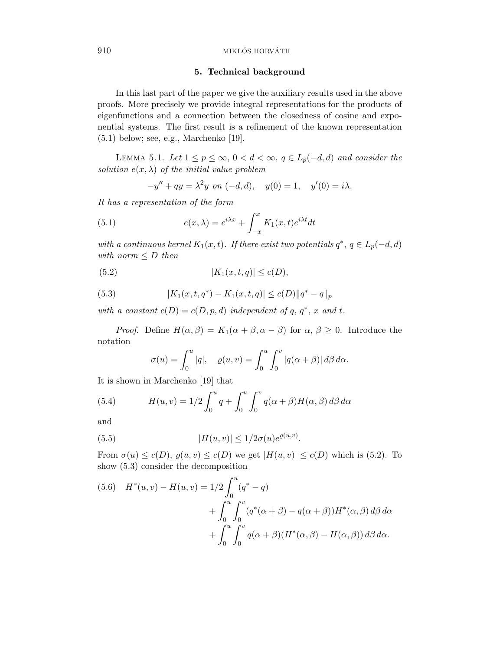#### 910 MIKLÓS HORVÁTH

### **5. Technical background**

In this last part of the paper we give the auxiliary results used in the above proofs. More precisely we provide integral representations for the products of eigenfunctions and a connection between the closedness of cosine and exponential systems. The first result is a refinement of the known representation (5.1) below; see, e.g., Marchenko [19].

LEMMA 5.1. Let  $1 \leq p \leq \infty$ ,  $0 < d < \infty$ ,  $q \in L_p(-d,d)$  and consider the solution  $e(x, \lambda)$  of the initial value problem

$$
-y'' + qy = \lambda^2 y \text{ on } (-d, d), \quad y(0) = 1, \quad y'(0) = i\lambda.
$$

It has a representation of the form

(5.1) 
$$
e(x,\lambda) = e^{i\lambda x} + \int_{-x}^{x} K_1(x,t)e^{i\lambda t}dt
$$

with a continuous kernel  $K_1(x,t)$ . If there exist two potentials  $q^*, q \in L_p(-d, d)$ with norm  $\leq D$  then

(5.2) 
$$
|K_1(x, t, q)| \le c(D),
$$

(5.3) 
$$
|K_1(x, t, q^*) - K_1(x, t, q)| \le c(D) ||q^* - q||_p
$$

with a constant  $c(D) = c(D, p, d)$  independent of q, q<sup>\*</sup>, x and t.

*Proof.* Define  $H(\alpha, \beta) = K_1(\alpha + \beta, \alpha - \beta)$  for  $\alpha, \beta \geq 0$ . Introduce the notation

$$
\sigma(u) = \int_0^u |q|, \quad \varrho(u,v) = \int_0^u \int_0^v |q(\alpha + \beta)| d\beta d\alpha.
$$

It is shown in Marchenko [19] that

(5.4) 
$$
H(u,v) = 1/2 \int_0^u q + \int_0^u \int_0^v q(\alpha + \beta) H(\alpha, \beta) d\beta d\alpha
$$

and

(5.5) 
$$
|H(u,v)| \le 1/2\sigma(u)e^{\varrho(u,v)}.
$$

From  $\sigma(u) \leq c(D)$ ,  $\varrho(u, v) \leq c(D)$  we get  $|H(u, v)| \leq c(D)$  which is (5.2). To show (5.3) consider the decomposition

(5.6) 
$$
H^*(u, v) - H(u, v) = 1/2 \int_0^u (q^* - q) + \int_0^u \int_0^v (q^*(\alpha + \beta) - q(\alpha + \beta)) H^*(\alpha, \beta) d\beta d\alpha + \int_0^u \int_0^v q(\alpha + \beta) (H^*(\alpha, \beta) - H(\alpha, \beta)) d\beta d\alpha.
$$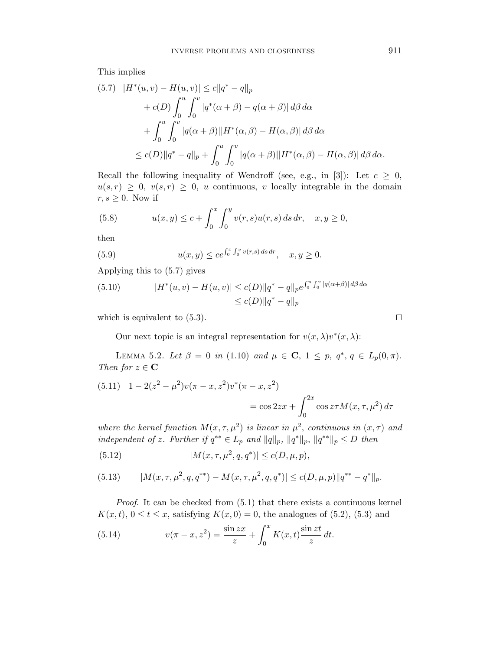This implies

$$
(5.7) \quad |H^*(u,v) - H(u,v)| \le c||q^* - q||_p
$$
  
+  $c(D) \int_0^u \int_0^v |q^*(\alpha + \beta) - q(\alpha + \beta)| d\beta d\alpha$   
+  $\int_0^u \int_0^v |q(\alpha + \beta)||H^*(\alpha, \beta) - H(\alpha, \beta)| d\beta d\alpha$   
 $\le c(D)||q^* - q||_p + \int_0^u \int_0^v |q(\alpha + \beta)||H^*(\alpha, \beta) - H(\alpha, \beta)| d\beta d\alpha.$ 

Recall the following inequality of Wendroff (see, e.g., in [3]): Let  $c \geq 0$ ,  $u(s,r) \geq 0$ ,  $v(s,r) \geq 0$ , *u* continuous, *v* locally integrable in the domain  $r, s \geq 0$ . Now if

(5.8) 
$$
u(x,y) \leq c + \int_0^x \int_0^y v(r,s)u(r,s) \, ds \, dr, \quad x, y \geq 0,
$$

then

(5.9) 
$$
u(x,y) \le ce^{\int_0^x \int_0^y v(r,s) ds dr}, \quad x, y \ge 0.
$$

Applying this to (5.7) gives

(5.10) 
$$
|H^*(u, v) - H(u, v)| \le c(D) \|q^* - q\|_p e^{\int_0^u \int_0^v |q(\alpha + \beta)| d\beta d\alpha} \le c(D) \|q^* - q\|_p
$$

which is equivalent to  $(5.3)$ .

Our next topic is an integral representation for  $v(x, \lambda)v^*(x, \lambda)$ :

LEMMA 5.2. Let  $\beta = 0$  in (1.10) and  $\mu \in \mathbf{C}$ ,  $1 \leq p, q^*, q \in L_p(0, \pi)$ . Then for  $z \in \mathbf{C}$ 

(5.11) 
$$
1 - 2(z^2 - \mu^2)v(\pi - x, z^2)v^*(\pi - x, z^2)
$$

$$
= \cos 2zx + \int_0^{2x} \cos z \tau M(x, \tau, \mu^2) d\tau
$$

where the kernel function  $M(x, \tau, \mu^2)$  is linear in  $\mu^2$ , continuous in  $(x, \tau)$  and independent of *z*. Further if  $q^{**} \in L_p$  and  $||q||_p$ ,  $||q^*||_p$ ,  $||q^{**}||_p \leq D$  then

(5.12) 
$$
|M(x, \tau, \mu^2, q, q^*)| \le c(D, \mu, p),
$$

(5.13) 
$$
|M(x,\tau,\mu^2,q,q^{**}) - M(x,\tau,\mu^2,q,q^{*})| \leq c(D,\mu,p) \|q^{**} - q^{*}\|_p.
$$

Proof. It can be checked from (5.1) that there exists a continuous kernel  $K(x,t)$ ,  $0 \le t \le x$ , satisfying  $K(x,0) = 0$ , the analogues of (5.2), (5.3) and

(5.14) 
$$
v(\pi - x, z^2) = \frac{\sin zx}{z} + \int_0^x K(x, t) \frac{\sin zt}{z} dt.
$$

$$
\Box
$$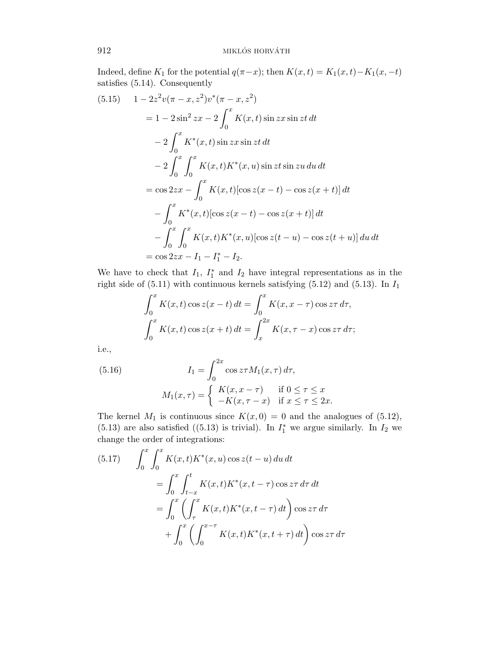Indeed, define  $K_1$  for the potential  $q(\pi - x)$ ; then  $K(x, t) = K_1(x, t) - K_1(x, -t)$ satisfies (5.14). Consequently

$$
(5.15) \quad 1 - 2z^2v(\pi - x, z^2)v^*(\pi - x, z^2)
$$
  
=  $1 - 2\sin^2 zx - 2\int_0^x K(x, t) \sin zx \sin zt dt$   
 $- 2\int_0^x K^*(x, t) \sin zx \sin zt dt$   
 $- 2\int_0^x \int_0^x K(x, t)K^*(x, u) \sin zt \sin zu du dt$   
=  $\cos 2zx - \int_0^x K(x, t)[\cos z(x - t) - \cos z(x + t)] dt$   
 $- \int_0^x K^*(x, t)[\cos z(x - t) - \cos z(x + t)] dt$   
 $- \int_0^x \int_0^x K(x, t)K^*(x, u)[\cos z(t - u) - \cos z(t + u)] du dt$   
=  $\cos 2zx - I_1 - I_1^* - I_2$ .

We have to check that  $I_1$ ,  $I_1^*$  and  $I_2$  have integral representations as in the right side of  $(5.11)$  with continuous kernels satisfying  $(5.12)$  and  $(5.13)$ . In  $I_1$ 

$$
\int_0^x K(x,t)\cos z(x-t) dt = \int_0^x K(x,x-\tau)\cos z\tau d\tau,
$$
  

$$
\int_0^x K(x,t)\cos z(x+t) dt = \int_x^{2x} K(x,\tau-x)\cos z\tau d\tau;
$$

i.e.,

(5.16) 
$$
I_1 = \int_0^{2x} \cos z \tau M_1(x, \tau) d\tau,
$$

$$
M_1(x, \tau) = \begin{cases} K(x, x - \tau) & \text{if } 0 \le \tau \le x \\ -K(x, \tau - x) & \text{if } x \le \tau \le 2x. \end{cases}
$$

The kernel  $M_1$  is continuous since  $K(x, 0) = 0$  and the analogues of (5.12), (5.13) are also satisfied ((5.13) is trivial). In  $I_1^*$  we argue similarly. In  $I_2$  we change the order of integrations:

(5.17) 
$$
\int_{0}^{x} \int_{0}^{x} K(x,t)K^{*}(x,u) \cos z(t-u) du dt
$$

$$
= \int_{0}^{x} \int_{t-x}^{t} K(x,t)K^{*}(x,t-\tau) \cos z\tau d\tau dt
$$

$$
= \int_{0}^{x} \left(\int_{\tau}^{x} K(x,t)K^{*}(x,t-\tau) dt\right) \cos z\tau d\tau
$$

$$
+ \int_{0}^{x} \left(\int_{0}^{x-\tau} K(x,t)K^{*}(x,t+\tau) dt\right) \cos z\tau d\tau
$$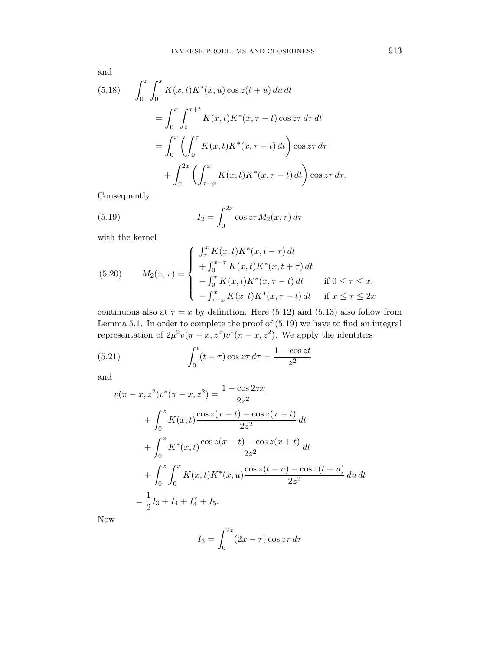and

(5.18) 
$$
\int_{0}^{x} \int_{0}^{x} K(x,t)K^{*}(x,u) \cos z(t+u) du dt
$$

$$
= \int_{0}^{x} \int_{t}^{x+t} K(x,t)K^{*}(x,\tau-t) \cos z\tau d\tau dt
$$

$$
= \int_{0}^{x} \left( \int_{0}^{T} K(x,t)K^{*}(x,\tau-t) dt \right) \cos z\tau d\tau
$$

$$
+ \int_{x}^{2x} \left( \int_{\tau-x}^{x} K(x,t)K^{*}(x,\tau-t) dt \right) \cos z\tau d\tau.
$$

Consequently

(5.19) 
$$
I_2 = \int_0^{2x} \cos z \tau M_2(x, \tau) d\tau
$$

with the kernel

(5.20) 
$$
M_2(x,\tau) = \begin{cases} \int_{\tau}^{x} K(x,t)K^*(x,t-\tau) dt \\ + \int_{0}^{x-\tau} K(x,t)K^*(x,t+\tau) dt \\ - \int_{0}^{\tau} K(x,t)K^*(x,\tau-t) dt \quad \text{if } 0 \le \tau \le x, \\ - \int_{\tau-x}^{x} K(x,t)K^*(x,\tau-t) dt \quad \text{if } x \le \tau \le 2x \end{cases}
$$

continuous also at  $\tau = x$  by definition. Here (5.12) and (5.13) also follow from Lemma 5.1. In order to complete the proof of (5.19) we have to find an integral representation of  $2\mu^2 v (\pi - x, z^2) v^* (\pi - x, z^2)$ . We apply the identities

(5.21) 
$$
\int_0^t (t-\tau)\cos z\tau d\tau = \frac{1-\cos zt}{z^2}
$$

and

$$
v(\pi - x, z^2)v^*( \pi - x, z^2) = \frac{1 - \cos 2zx}{2z^2}
$$
  
+  $\int_0^x K(x, t) \frac{\cos z(x - t) - \cos z(x + t)}{2z^2} dt$   
+  $\int_0^x K^*(x, t) \frac{\cos z(x - t) - \cos z(x + t)}{2z^2} dt$   
+  $\int_0^x \int_0^x K(x, t) K^*(x, u) \frac{\cos z(t - u) - \cos z(t + u)}{2z^2} du dt$   
=  $\frac{1}{2}I_3 + I_4 + I_4^* + I_5.$ 

Now

$$
I_3 = \int_0^{2x} (2x - \tau) \cos z\tau \, d\tau
$$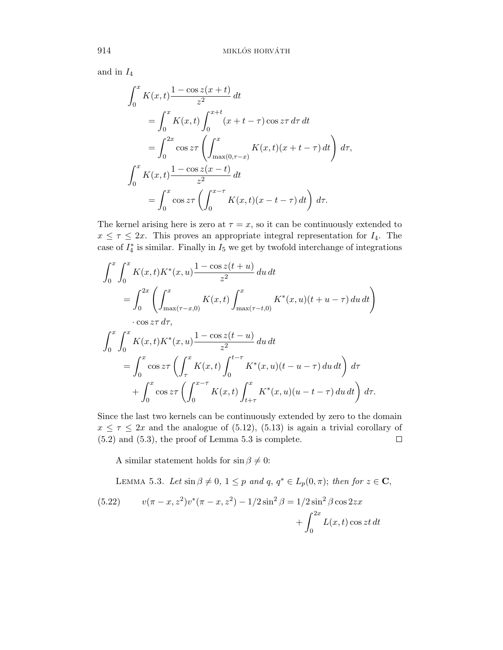and in *I*<sup>4</sup>

$$
\int_{0}^{x} K(x,t) \frac{1 - \cos z(x+t)}{z^{2}} dt
$$
  
= 
$$
\int_{0}^{x} K(x,t) \int_{0}^{x+t} (x+t-\tau) \cos z\tau d\tau dt
$$
  
= 
$$
\int_{0}^{2x} \cos z\tau \left( \int_{\max(0,\tau-x)}^{x} K(x,t) (x+t-\tau) dt \right) d\tau,
$$
  

$$
\int_{0}^{x} K(x,t) \frac{1 - \cos z(x-t)}{z^{2}} dt
$$
  
= 
$$
\int_{0}^{x} \cos z\tau \left( \int_{0}^{x-\tau} K(x,t) (x-t-\tau) dt \right) d\tau.
$$

The kernel arising here is zero at  $\tau = x$ , so it can be continuously extended to  $x \leq \tau \leq 2x$ . This proves an appropriate integral representation for  $I_4$ . The case of  $I_4^*$  is similar. Finally in  $I_5$  we get by twofold interchange of integrations

$$
\int_{0}^{x} \int_{0}^{x} K(x,t)K^{*}(x,u) \frac{1-\cos z(t+u)}{z^{2}} du dt
$$
\n
$$
= \int_{0}^{2x} \left( \int_{\max(\tau-x,0)}^{x} K(x,t) \int_{\max(\tau-t,0)}^{x} K^{*}(x,u)(t+u-\tau) du dt \right)
$$
\n
$$
\int_{0}^{x} \int_{0}^{x} K(x,t)K^{*}(x,u) \frac{1-\cos z(t-u)}{z^{2}} du dt
$$
\n
$$
= \int_{0}^{x} \cos z \tau \left( \int_{\tau}^{x} K(x,t) \int_{0}^{t-\tau} K^{*}(x,u)(t-u-\tau) du dt \right) d\tau
$$
\n
$$
+ \int_{0}^{x} \cos z \tau \left( \int_{0}^{x-\tau} K(x,t) \int_{t+\tau}^{x} K^{*}(x,u)(u-t-\tau) du dt \right) d\tau.
$$

Since the last two kernels can be continuously extended by zero to the domain  $x \leq \tau \leq 2x$  and the analogue of (5.12), (5.13) is again a trivial corollary of (5.2) and (5.3), the proof of Lemma 5.3 is complete.  $\Box$ 

A similar statement holds for  $\sin \beta \neq 0$ :

LEMMA 5.3. Let  $\sin \beta \neq 0$ ,  $1 \leq p$  and  $q, q^* \in L_p(0, \pi)$ ; then for  $z \in \mathbb{C}$ ,

(5.22) 
$$
v(\pi - x, z^2)v^*(\pi - x, z^2) - 1/2\sin^2\beta = 1/2\sin^2\beta\cos 2zx + \int_0^{2x} L(x, t)\cos zt dt
$$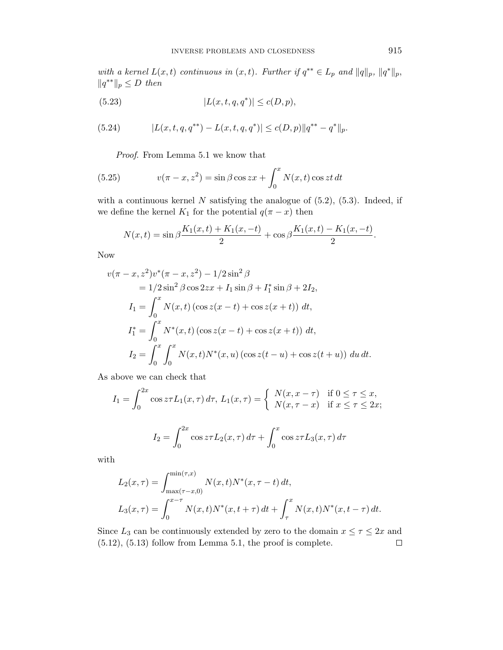with a kernel  $L(x,t)$  continuous in  $(x,t)$ . Further if  $q^{**} \in L_p$  and  $||q||_p$ ,  $||q^*||_p$ ,  $||q^*^*||_p ≤ D$  then

(5.23) 
$$
|L(x, t, q, q^*)| \le c(D, p),
$$

(5.24) 
$$
|L(x,t,q,q^{**})-L(x,t,q,q^{*})| \leq c(D,p)||q^{**}-q^{*}||_{p}.
$$

Proof. From Lemma 5.1 we know that

(5.25) 
$$
v(\pi - x, z^2) = \sin \beta \cos zx + \int_0^x N(x, t) \cos zt \, dt
$$

with a continuous kernel  $N$  satisfying the analogue of  $(5.2)$ ,  $(5.3)$ . Indeed, if we define the kernel  $K_1$  for the potential  $q(\pi - x)$  then

$$
N(x,t) = \sin \beta \frac{K_1(x,t) + K_1(x,-t)}{2} + \cos \beta \frac{K_1(x,t) - K_1(x,-t)}{2}.
$$

Now

$$
v(\pi - x, z^2)v^*( \pi - x, z^2) - 1/2 \sin^2 \beta
$$
  
= 1/2 \sin^2 \beta \cos 2zx + I\_1 \sin \beta + I\_1^\* \sin \beta + 2I\_2,  
I\_1 =  $\int_0^x N(x, t) (\cos z(x - t) + \cos z(x + t)) dt$ ,  
I\_1^\* =  $\int_0^x N^*(x, t) (\cos z(x - t) + \cos z(x + t)) dt$ ,  
I\_2 =  $\int_0^x \int_0^x N(x, t) N^*(x, u) (\cos z(t - u) + \cos z(t + u)) du dt$ .

As above we can check that

$$
I_1 = \int_0^{2x} \cos z \tau L_1(x, \tau) d\tau, L_1(x, \tau) = \begin{cases} N(x, x - \tau) & \text{if } 0 \le \tau \le x, \\ N(x, \tau - x) & \text{if } x \le \tau \le 2x; \end{cases}
$$

$$
I_2 = \int_0^{2x} \cos z \tau L_2(x, \tau) d\tau + \int_0^x \cos z \tau L_3(x, \tau) d\tau
$$

with

$$
L_2(x,\tau) = \int_{\max(\tau-x,0)}^{\min(\tau,x)} N(x,t)N^*(x,\tau-t) dt,
$$
  
\n
$$
L_3(x,\tau) = \int_0^{x-\tau} N(x,t)N^*(x,t+\tau) dt + \int_\tau^x N(x,t)N^*(x,t-\tau) dt.
$$

Since  $L_3$  can be continuously extended by zero to the domain  $x \le \tau \le 2x$  and (5.12), (5.13) follow from Lemma 5.1, the proof is complete. $\Box$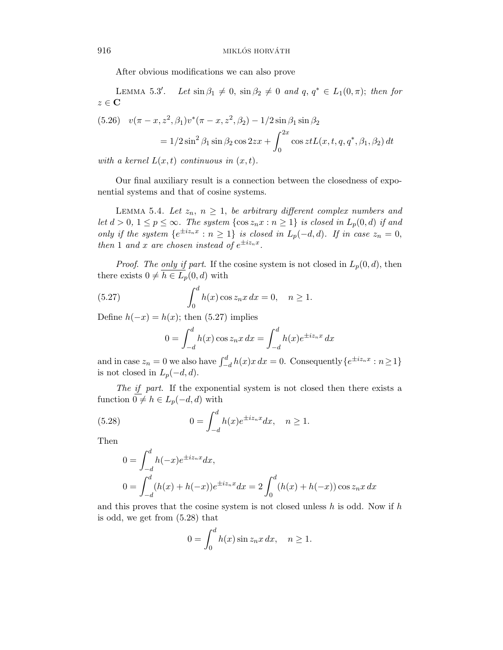After obvious modifications we can also prove

Lemma 5*.*3 Let  $\sin \beta_1 \neq 0$ ,  $\sin \beta_2 \neq 0$  and  $q, q^* \in L_1(0, \pi)$ ; then for  $z \in \mathbf{C}$ 

(5.26) 
$$
v(\pi - x, z^2, \beta_1)v^*(\pi - x, z^2, \beta_2) - 1/2 \sin \beta_1 \sin \beta_2
$$

$$
= 1/2 \sin^2 \beta_1 \sin \beta_2 \cos 2zx + \int_0^{2x} \cos zt L(x, t, q, q^*, \beta_1, \beta_2) dt
$$

with a kernel  $L(x,t)$  continuous in  $(x,t)$ .

Our final auxiliary result is a connection between the closedness of exponential systems and that of cosine systems.

LEMMA 5.4. Let  $z_n$ ,  $n \geq 1$ , be arbitrary different complex numbers and let *d* > 0, 1 ≤ *p* ≤ ∞. The system {cos  $z_n x : n \ge 1$ } is closed in  $L_p(0,d)$  if and only if the system  ${e^{\pm i z_n x} : n \ge 1}$  is closed in  $L_p(-d,d)$ . If in case  $z_n = 0$ , then 1 and *x* are chosen instead of  $e^{\pm i z_n x}$ .

*Proof. The only if part.* If the cosine system is not closed in  $L_p(0,d)$ , then there exists  $0 \neq h \in L_p(0, d)$  with

(5.27) 
$$
\int_0^d h(x) \cos z_n x \, dx = 0, \quad n \ge 1.
$$

Define  $h(-x) = h(x)$ ; then (5.27) implies

$$
0 = \int_{-d}^{d} h(x) \cos z_n x \, dx = \int_{-d}^{d} h(x) e^{\pm iz_n x} \, dx
$$

and in case  $z_n = 0$  we also have  $\int_{-d}^{d} h(x)x dx = 0$ . Consequently  $\{e^{\pm iz_n x} : n \ge 1\}$ is not closed in  $L_p(-d, d)$ .

The if part. If the exponential system is not closed then there exists a function  $0 \neq h \in L_p(-d, d)$  with

(5.28) 
$$
0 = \int_{-d}^{d} h(x)e^{\pm iz_n x} dx, \quad n \ge 1.
$$

Then

$$
0 = \int_{-d}^{d} h(-x)e^{\pm iz_n x} dx,
$$
  
\n
$$
0 = \int_{-d}^{d} (h(x) + h(-x))e^{\pm iz_n x} dx = 2 \int_{0}^{d} (h(x) + h(-x)) \cos z_n x dx
$$

and this proves that the cosine system is not closed unless *h* is odd. Now if *h* is odd, we get from (5.28) that

$$
0 = \int_0^d h(x) \sin z_n x \, dx, \quad n \ge 1.
$$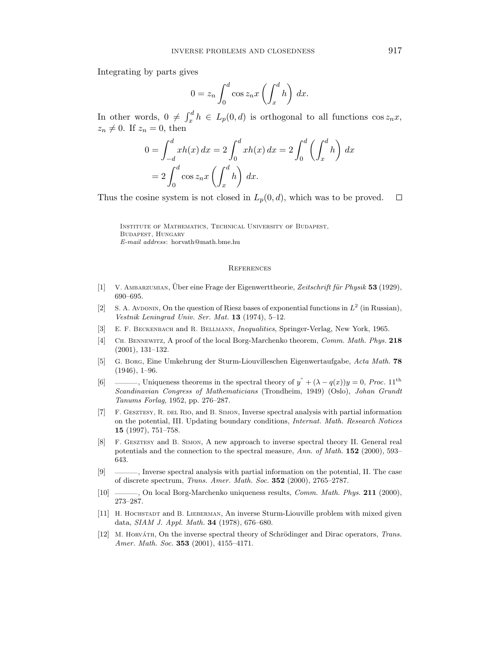Integrating by parts gives

$$
0 = z_n \int_0^d \cos z_n x \left( \int_x^d h \right) dx.
$$

In other words,  $0 \neq \int_x^d h \in L_p(0,d)$  is orthogonal to all functions  $\cos z_n x$ ,  $z_n \neq 0$ . If  $z_n = 0$ , then

$$
0 = \int_{-d}^{d} xh(x) dx = 2 \int_{0}^{d} xh(x) dx = 2 \int_{0}^{d} \left( \int_{x}^{d} h \right) dx
$$

$$
= 2 \int_{0}^{d} \cos z_n x \left( \int_{x}^{d} h \right) dx.
$$

Thus the cosine system is not closed in  $L_p(0, d)$ , which was to be proved.  $\Box$ 

Institute of Mathematics, Technical University of Budapest, Budapest, Hungary *E-mail address*: horvath@math.bme.hu

#### **REFERENCES**

- [1] V. AMBARZUMIAN, Über eine Frage der Eigenwerttheorie, Zeitschrift für Physik 53 (1929), 690–695.
- [2] S. A. Avdonin, On the question of Riesz bases of exponential functions in  $L^2$  (in Russian), *Vestnik Leningrad Univ. Ser. Mat.* **13** (1974), 5–12.
- [3] E. F. Beckenbach and R. Bellmann, *Inequalities*, Springer-Verlag, New York, 1965.
- [4] Ch. Bennewitz, A proof of the local Borg-Marchenko theorem, *Comm. Math. Phys.* **218** (2001), 131–132.
- [5] G. Borg, Eine Umkehrung der Sturm-Liouvilleschen Eigenwertaufgabe, *Acta Math.* **78** (1946), 1–96.
- [6] ———, Uniqueness theorems in the spectral theory of  $y'' + (\lambda q(x))y = 0$ , *Proc.* 11<sup>th</sup> *Scandinavian Congress of Mathematicians* (Trondheim, 1949) (Oslo), *Johan Grundt Tanums Forlag*, 1952, pp. 276–287.
- [7] F. Gesztesy, R. del Rio, and B. Simon, Inverse spectral analysis with partial information on the potential, III. Updating boundary conditions, *Internat. Math. Research Notices* **15** (1997), 751–758.
- [8] F. Gesztesy and B. Simon, A new approach to inverse spectral theory II. General real potentials and the connection to the spectral measure, *Ann. of Math.* **152** (2000), 593– 643.
- [9] ———, Inverse spectral analysis with partial information on the potential, II. The case of discrete spectrum, *Trans. Amer. Math. Soc.* **352** (2000), 2765–2787.
- [10] ———, On local Borg-Marchenko uniqueness results, *Comm. Math. Phys.* **211** (2000), 273–287.
- [11] H. HOCHSTADT and B. LIEBERMAN, An inverse Sturm-Liouville problem with mixed given data, *SIAM J. Appl. Math.* **34** (1978), 676–680.
- [12] M. HORVATH, On the inverse spectral theory of Schrödinger and Dirac operators, *Trans. Amer. Math. Soc.* **353** (2001), 4155–4171.